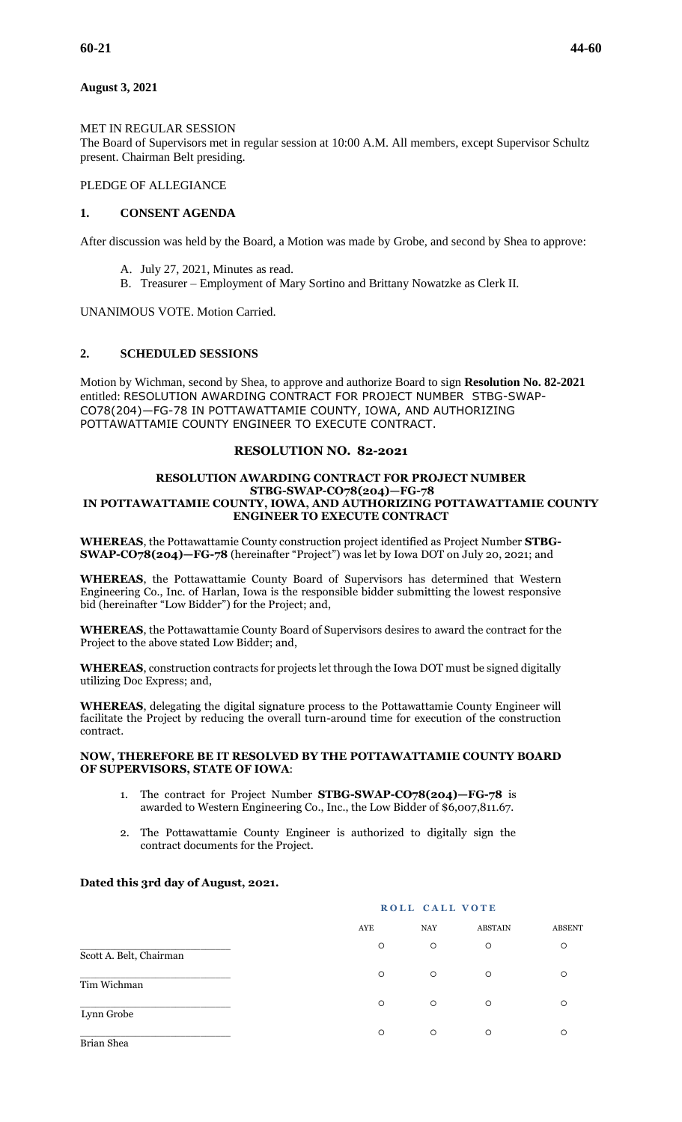### MET IN REGULAR SESSION

The Board of Supervisors met in regular session at 10:00 A.M. All members, except Supervisor Schultz present. Chairman Belt presiding.

# PLEDGE OF ALLEGIANCE

### **1. CONSENT AGENDA**

After discussion was held by the Board, a Motion was made by Grobe, and second by Shea to approve:

- A. July 27, 2021, Minutes as read.
- B. Treasurer Employment of Mary Sortino and Brittany Nowatzke as Clerk II.

UNANIMOUS VOTE. Motion Carried.

### **2. SCHEDULED SESSIONS**

Motion by Wichman, second by Shea, to approve and authorize Board to sign **Resolution No. 82-2021** entitled: RESOLUTION AWARDING CONTRACT FOR PROJECT NUMBER STBG-SWAP-CO78(204)—FG-78 IN POTTAWATTAMIE COUNTY, IOWA, AND AUTHORIZING POTTAWATTAMIE COUNTY ENGINEER TO EXECUTE CONTRACT.

### **RESOLUTION NO. 82-2021**

### **RESOLUTION AWARDING CONTRACT FOR PROJECT NUMBER STBG-SWAP-CO78(204)—FG-78 IN POTTAWATTAMIE COUNTY, IOWA, AND AUTHORIZING POTTAWATTAMIE COUNTY ENGINEER TO EXECUTE CONTRACT**

**WHEREAS**, the Pottawattamie County construction project identified as Project Number **STBG-SWAP-CO78(204)—FG-78** (hereinafter "Project") was let by Iowa DOT on July 20, 2021; and

**WHEREAS**, the Pottawattamie County Board of Supervisors has determined that Western Engineering Co., Inc. of Harlan, Iowa is the responsible bidder submitting the lowest responsive bid (hereinafter "Low Bidder") for the Project; and,

**WHEREAS**, the Pottawattamie County Board of Supervisors desires to award the contract for the Project to the above stated Low Bidder; and,

**WHEREAS**, construction contracts for projects let through the Iowa DOT must be signed digitally utilizing Doc Express; and,

**WHEREAS**, delegating the digital signature process to the Pottawattamie County Engineer will facilitate the Project by reducing the overall turn-around time for execution of the construction contract.

### **NOW, THEREFORE BE IT RESOLVED BY THE POTTAWATTAMIE COUNTY BOARD OF SUPERVISORS, STATE OF IOWA**:

- 1. The contract for Project Number **STBG-SWAP-CO78(204)—FG-78** is awarded to Western Engineering Co., Inc., the Low Bidder of \$6,007,811.67.
- 2. The Pottawattamie County Engineer is authorized to digitally sign the contract documents for the Project.

### **Dated this 3rd day of August, 2021.**

|                         |         | ROLL CALL VOTE |                |               |
|-------------------------|---------|----------------|----------------|---------------|
|                         | AYE     | <b>NAY</b>     | <b>ABSTAIN</b> | <b>ABSENT</b> |
| Scott A. Belt, Chairman | $\circ$ | $\circ$        | $\circ$        | $\circ$       |
| Tim Wichman             | $\circ$ | $\circ$        | $\circ$        | O             |
| Lynn Grobe              | $\circ$ | $\circ$        | $\circ$        | O             |
| Brian Shea              | $\circ$ | $\circ$        | $\circ$        | O             |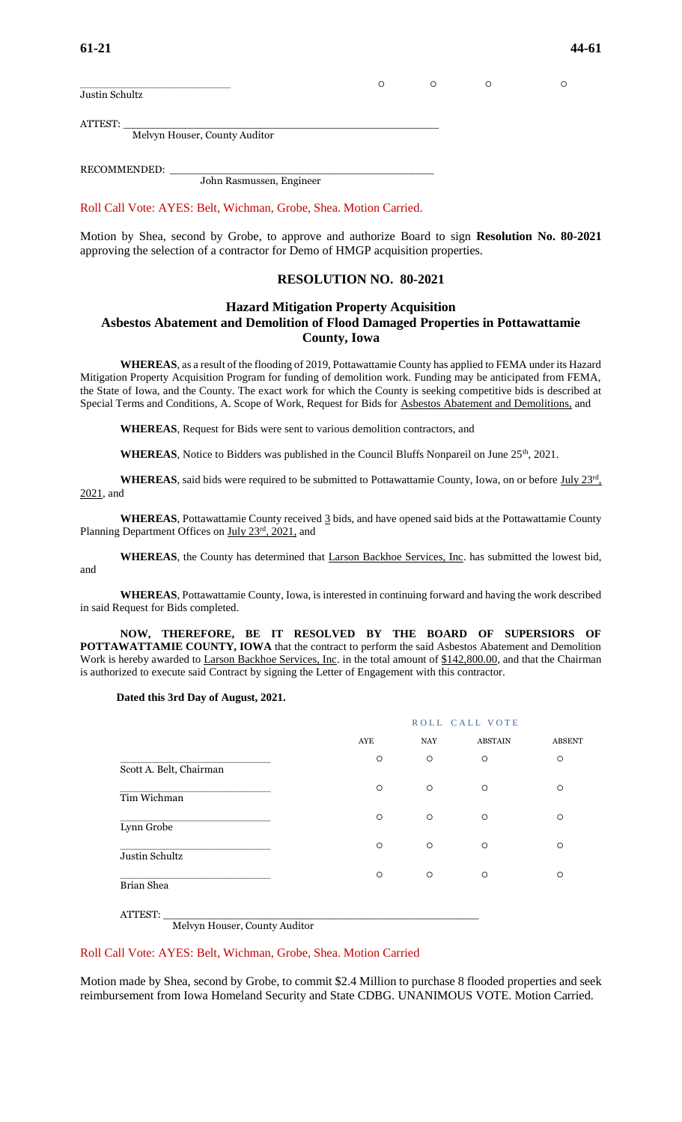| Justin Schultz                | O |  |  |
|-------------------------------|---|--|--|
|                               |   |  |  |
| ATTEST:                       |   |  |  |
| Melvyn Houser, County Auditor |   |  |  |

RECOMMENDED:

John Rasmussen, Engineer

Roll Call Vote: AYES: Belt, Wichman, Grobe, Shea. Motion Carried.

Motion by Shea, second by Grobe, to approve and authorize Board to sign **Resolution No. 80-2021** approving the selection of a contractor for Demo of HMGP acquisition properties.

### **RESOLUTION NO. 80-2021**

# **Hazard Mitigation Property Acquisition Asbestos Abatement and Demolition of Flood Damaged Properties in Pottawattamie County, Iowa**

**WHEREAS**, as a result of the flooding of 2019, Pottawattamie County has applied to FEMA under its Hazard Mitigation Property Acquisition Program for funding of demolition work. Funding may be anticipated from FEMA, the State of Iowa, and the County. The exact work for which the County is seeking competitive bids is described at Special Terms and Conditions, A. Scope of Work, Request for Bids for Asbestos Abatement and Demolitions, and

**WHEREAS**, Request for Bids were sent to various demolition contractors, and

WHEREAS, Notice to Bidders was published in the Council Bluffs Nonpareil on June 25<sup>th</sup>, 2021.

WHEREAS, said bids were required to be submitted to Pottawattamie County, Iowa, on or before July 23<sup>rd</sup>, 2021, and

WHEREAS, Pottawattamie County received 3 bids, and have opened said bids at the Pottawattamie County Planning Department Offices on July 23<sup>rd</sup>, 2021, and

**WHEREAS**, the County has determined that Larson Backhoe Services, Inc. has submitted the lowest bid, and

**WHEREAS**, Pottawattamie County, Iowa, is interested in continuing forward and having the work described in said Request for Bids completed.

**NOW, THEREFORE, BE IT RESOLVED BY THE BOARD OF SUPERSIORS OF POTTAWATTAMIE COUNTY, IOWA** that the contract to perform the said Asbestos Abatement and Demolition Work is hereby awarded to Larson Backhoe Services, Inc. in the total amount of \$142,800.00, and that the Chairman is authorized to execute said Contract by signing the Letter of Engagement with this contractor.

#### **Dated this 3rd Day of August, 2021.**

|                         |         | ROLL CALL VOTE |                |               |
|-------------------------|---------|----------------|----------------|---------------|
|                         | AYE     | <b>NAY</b>     | <b>ABSTAIN</b> | <b>ABSENT</b> |
| Scott A. Belt, Chairman | O       | O              | $\circ$        | $\circ$       |
| Tim Wichman             | $\circ$ | O              | $\circ$        | $\circ$       |
| Lynn Grobe              | O       | O              | $\circ$        | $\circ$       |
| Justin Schultz          | $\circ$ | $\circ$        | $\circ$        | $\circ$       |
| Brian Shea              | $\circ$ | $\circ$        | $\circ$        | $\circ$       |
| ATTEST:                 |         |                |                |               |

Melvyn Houser, County Auditor

Roll Call Vote: AYES: Belt, Wichman, Grobe, Shea. Motion Carried

Motion made by Shea, second by Grobe, to commit \$2.4 Million to purchase 8 flooded properties and seek reimbursement from Iowa Homeland Security and State CDBG. UNANIMOUS VOTE. Motion Carried.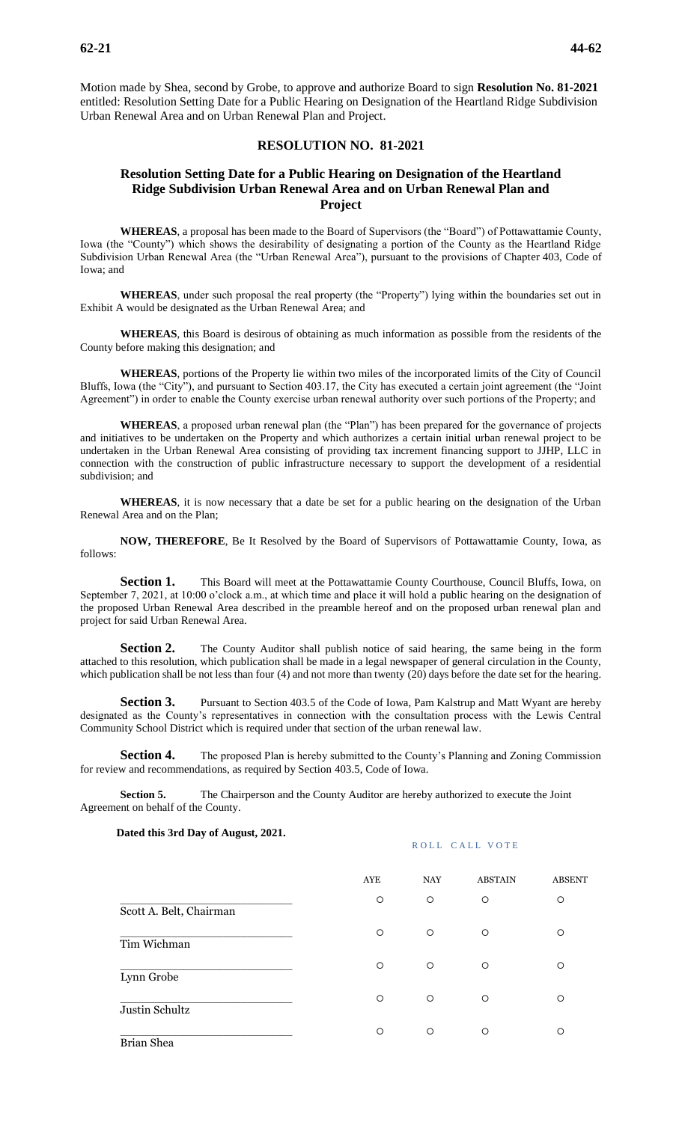Motion made by Shea, second by Grobe, to approve and authorize Board to sign **Resolution No. 81-2021** entitled: Resolution Setting Date for a Public Hearing on Designation of the Heartland Ridge Subdivision Urban Renewal Area and on Urban Renewal Plan and Project.

# **RESOLUTION NO. 81-2021**

# **Resolution Setting Date for a Public Hearing on Designation of the Heartland Ridge Subdivision Urban Renewal Area and on Urban Renewal Plan and Project**

**WHEREAS**, a proposal has been made to the Board of Supervisors (the "Board") of Pottawattamie County, Iowa (the "County") which shows the desirability of designating a portion of the County as the Heartland Ridge Subdivision Urban Renewal Area (the "Urban Renewal Area"), pursuant to the provisions of Chapter 403, Code of Iowa; and

**WHEREAS**, under such proposal the real property (the "Property") lying within the boundaries set out in Exhibit A would be designated as the Urban Renewal Area; and

**WHEREAS**, this Board is desirous of obtaining as much information as possible from the residents of the County before making this designation; and

**WHEREAS**, portions of the Property lie within two miles of the incorporated limits of the City of Council Bluffs, Iowa (the "City"), and pursuant to Section 403.17, the City has executed a certain joint agreement (the "Joint Agreement") in order to enable the County exercise urban renewal authority over such portions of the Property; and

**WHEREAS**, a proposed urban renewal plan (the "Plan") has been prepared for the governance of projects and initiatives to be undertaken on the Property and which authorizes a certain initial urban renewal project to be undertaken in the Urban Renewal Area consisting of providing tax increment financing support to JJHP, LLC in connection with the construction of public infrastructure necessary to support the development of a residential subdivision; and

**WHEREAS**, it is now necessary that a date be set for a public hearing on the designation of the Urban Renewal Area and on the Plan;

**NOW, THEREFORE**, Be It Resolved by the Board of Supervisors of Pottawattamie County, Iowa, as follows:

**Section 1.** This Board will meet at the Pottawattamie County Courthouse, Council Bluffs, Iowa, on September 7, 2021, at 10:00 o'clock a.m., at which time and place it will hold a public hearing on the designation of the proposed Urban Renewal Area described in the preamble hereof and on the proposed urban renewal plan and project for said Urban Renewal Area.

Section 2. The County Auditor shall publish notice of said hearing, the same being in the form attached to this resolution, which publication shall be made in a legal newspaper of general circulation in the County, which publication shall be not less than four (4) and not more than twenty (20) days before the date set for the hearing.

**Section 3.** Pursuant to Section 403.5 of the Code of Iowa, Pam Kalstrup and Matt Wyant are hereby designated as the County's representatives in connection with the consultation process with the Lewis Central Community School District which is required under that section of the urban renewal law.

**Section 4.** The proposed Plan is hereby submitted to the County's Planning and Zoning Commission for review and recommendations, as required by Section 403.5, Code of Iowa.

**Section 5.** The Chairperson and the County Auditor are hereby authorized to execute the Joint Agreement on behalf of the County.

**Dated this 3rd Day of August, 2021.**

#### ROLL CALL VOTE

|                         | <b>AYE</b> | <b>NAY</b> | <b>ABSTAIN</b> | <b>ABSENT</b> |
|-------------------------|------------|------------|----------------|---------------|
| Scott A. Belt, Chairman | $\circ$    | $\circ$    | $\circ$        | $\circ$       |
| Tim Wichman             | $\circ$    | $\circ$    | $\circ$        | $\circ$       |
| Lynn Grobe              | $\circ$    | $\circ$    | $\circ$        | $\circ$       |
| Justin Schultz          | $\circ$    | $\circ$    | $\circ$        | $\circ$       |
| Brian Shea              | $\circ$    | $\circ$    | O              | О             |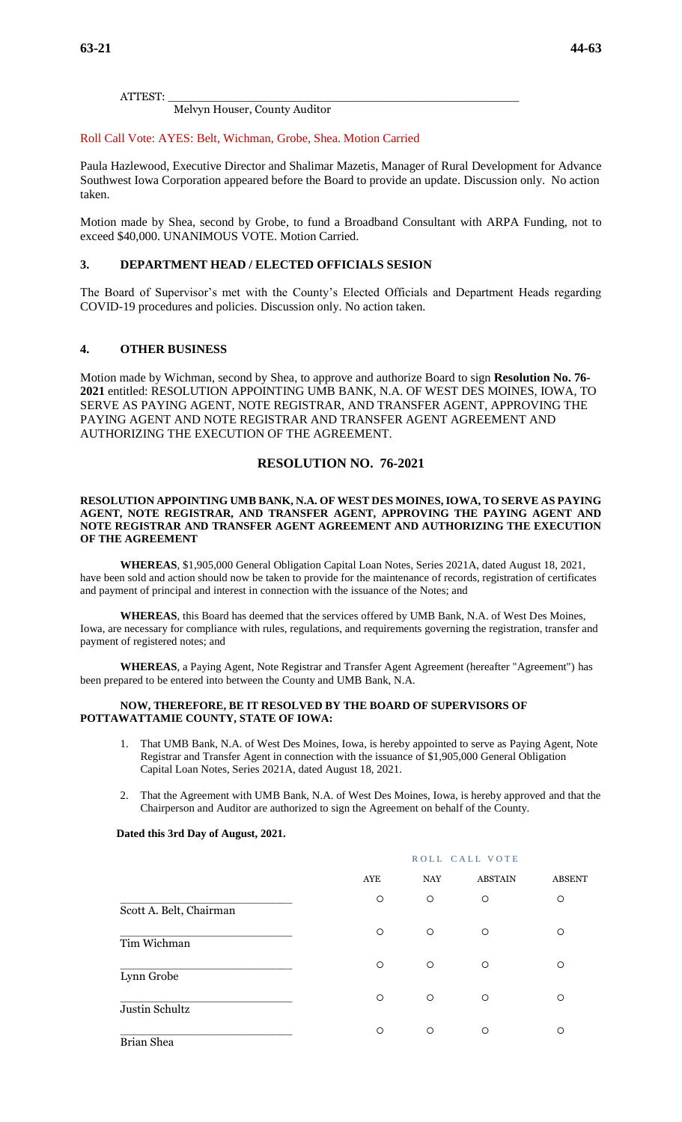ATTEST: \_\_\_\_\_\_\_\_\_\_\_\_\_\_\_\_\_\_\_\_\_\_\_\_\_\_\_\_\_\_\_\_\_\_\_\_\_\_\_\_\_\_\_\_\_\_\_\_\_

Melvyn Houser, County Auditor

### Roll Call Vote: AYES: Belt, Wichman, Grobe, Shea. Motion Carried

Paula Hazlewood, Executive Director and Shalimar Mazetis, Manager of Rural Development for Advance Southwest Iowa Corporation appeared before the Board to provide an update. Discussion only. No action taken.

Motion made by Shea, second by Grobe, to fund a Broadband Consultant with ARPA Funding, not to exceed \$40,000. UNANIMOUS VOTE. Motion Carried.

# **3. DEPARTMENT HEAD / ELECTED OFFICIALS SESION**

The Board of Supervisor's met with the County's Elected Officials and Department Heads regarding COVID-19 procedures and policies. Discussion only. No action taken.

# **4. OTHER BUSINESS**

Motion made by Wichman, second by Shea, to approve and authorize Board to sign **Resolution No. 76- 2021** entitled: RESOLUTION APPOINTING UMB BANK, N.A. OF WEST DES MOINES, IOWA, TO SERVE AS PAYING AGENT, NOTE REGISTRAR, AND TRANSFER AGENT, APPROVING THE PAYING AGENT AND NOTE REGISTRAR AND TRANSFER AGENT AGREEMENT AND AUTHORIZING THE EXECUTION OF THE AGREEMENT.

# **RESOLUTION NO. 76-2021**

### **RESOLUTION APPOINTING UMB BANK, N.A. OF WEST DES MOINES, IOWA, TO SERVE AS PAYING AGENT, NOTE REGISTRAR, AND TRANSFER AGENT, APPROVING THE PAYING AGENT AND NOTE REGISTRAR AND TRANSFER AGENT AGREEMENT AND AUTHORIZING THE EXECUTION OF THE AGREEMENT**

**WHEREAS**, \$1,905,000 General Obligation Capital Loan Notes, Series 2021A, dated August 18, 2021, have been sold and action should now be taken to provide for the maintenance of records, registration of certificates and payment of principal and interest in connection with the issuance of the Notes; and

**WHEREAS**, this Board has deemed that the services offered by UMB Bank, N.A. of West Des Moines, Iowa, are necessary for compliance with rules, regulations, and requirements governing the registration, transfer and payment of registered notes; and

**WHEREAS**, a Paying Agent, Note Registrar and Transfer Agent Agreement (hereafter "Agreement") has been prepared to be entered into between the County and UMB Bank, N.A.

### **NOW, THEREFORE, BE IT RESOLVED BY THE BOARD OF SUPERVISORS OF POTTAWATTAMIE COUNTY, STATE OF IOWA:**

- 1. That UMB Bank, N.A. of West Des Moines, Iowa, is hereby appointed to serve as Paying Agent, Note Registrar and Transfer Agent in connection with the issuance of \$1,905,000 General Obligation Capital Loan Notes, Series 2021A, dated August 18, 2021.
- 2. That the Agreement with UMB Bank, N.A. of West Des Moines, Iowa, is hereby approved and that the Chairperson and Auditor are authorized to sign the Agreement on behalf of the County.

### **Dated this 3rd Day of August, 2021.**

|                         | ROLL CALL VOTE |            |                |               |
|-------------------------|----------------|------------|----------------|---------------|
|                         | AYE            | <b>NAY</b> | <b>ABSTAIN</b> | <b>ABSENT</b> |
| Scott A. Belt, Chairman | $\circ$        | $\circ$    | $\circ$        | $\circ$       |
| Tim Wichman             | $\circ$        | $\circ$    | $\circ$        | $\circ$       |
| Lynn Grobe              | $\circ$        | $\circ$    | $\circ$        | $\circ$       |
| Justin Schultz          | $\circ$        | $\circ$    | $\circ$        | $\circ$       |
| Brian Shea              | $\circ$        | $\circ$    | $\circ$        | $\Omega$      |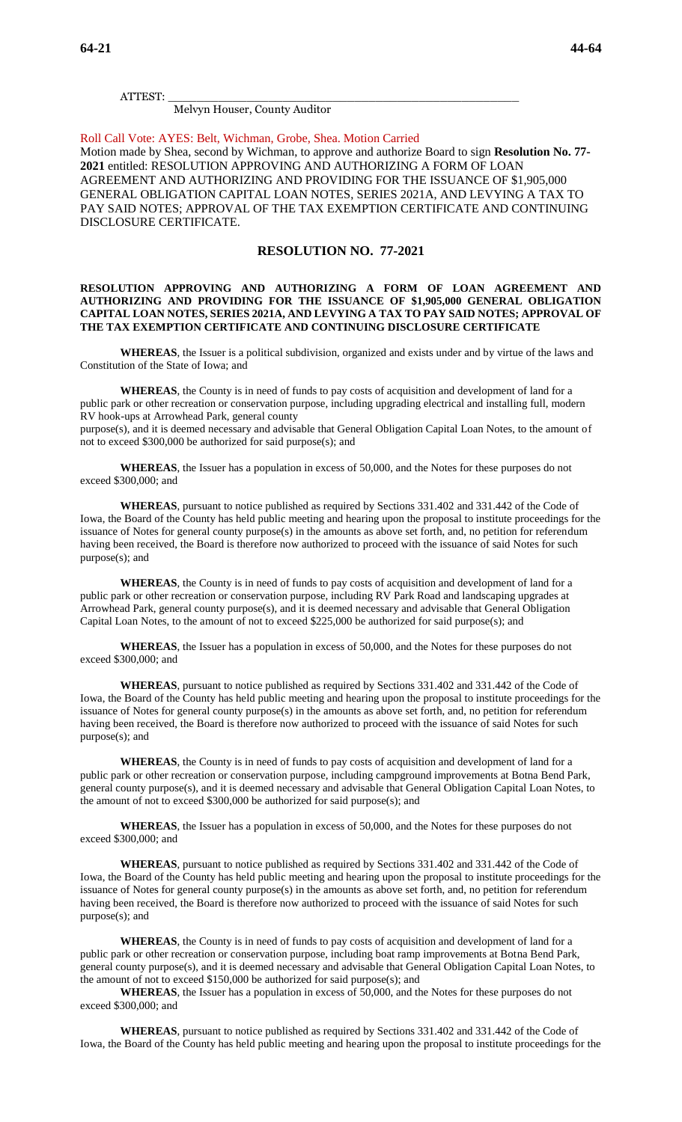ATTEST: \_\_\_\_\_\_\_\_\_\_\_\_\_\_\_\_\_\_\_\_\_\_\_\_\_\_\_\_\_\_\_\_\_\_\_\_\_\_\_\_\_\_\_\_\_\_\_\_\_

Melvyn Houser, County Auditor

Roll Call Vote: AYES: Belt, Wichman, Grobe, Shea. Motion Carried

Motion made by Shea, second by Wichman, to approve and authorize Board to sign **Resolution No. 77- 2021** entitled: RESOLUTION APPROVING AND AUTHORIZING A FORM OF LOAN AGREEMENT AND AUTHORIZING AND PROVIDING FOR THE ISSUANCE OF \$1,905,000 GENERAL OBLIGATION CAPITAL LOAN NOTES, SERIES 2021A, AND LEVYING A TAX TO PAY SAID NOTES; APPROVAL OF THE TAX EXEMPTION CERTIFICATE AND CONTINUING DISCLOSURE CERTIFICATE.

# **RESOLUTION NO. 77-2021**

### **RESOLUTION APPROVING AND AUTHORIZING A FORM OF LOAN AGREEMENT AND AUTHORIZING AND PROVIDING FOR THE ISSUANCE OF \$1,905,000 GENERAL OBLIGATION CAPITAL LOAN NOTES, SERIES 2021A, AND LEVYING A TAX TO PAY SAID NOTES; APPROVAL OF THE TAX EXEMPTION CERTIFICATE AND CONTINUING DISCLOSURE CERTIFICATE**

**WHEREAS**, the Issuer is a political subdivision, organized and exists under and by virtue of the laws and Constitution of the State of Iowa; and

**WHEREAS**, the County is in need of funds to pay costs of acquisition and development of land for a public park or other recreation or conservation purpose, including upgrading electrical and installing full, modern RV hook-ups at Arrowhead Park, general county purpose(s), and it is deemed necessary and advisable that General Obligation Capital Loan Notes, to the amount of not to exceed \$300,000 be authorized for said purpose(s); and

**WHEREAS**, the Issuer has a population in excess of 50,000, and the Notes for these purposes do not exceed \$300,000; and

**WHEREAS**, pursuant to notice published as required by Sections 331.402 and 331.442 of the Code of Iowa, the Board of the County has held public meeting and hearing upon the proposal to institute proceedings for the issuance of Notes for general county purpose(s) in the amounts as above set forth, and, no petition for referendum having been received, the Board is therefore now authorized to proceed with the issuance of said Notes for such purpose(s); and

**WHEREAS**, the County is in need of funds to pay costs of acquisition and development of land for a public park or other recreation or conservation purpose, including RV Park Road and landscaping upgrades at Arrowhead Park, general county purpose(s), and it is deemed necessary and advisable that General Obligation Capital Loan Notes, to the amount of not to exceed \$225,000 be authorized for said purpose(s); and

**WHEREAS**, the Issuer has a population in excess of 50,000, and the Notes for these purposes do not exceed \$300,000; and

**WHEREAS**, pursuant to notice published as required by Sections 331.402 and 331.442 of the Code of Iowa, the Board of the County has held public meeting and hearing upon the proposal to institute proceedings for the issuance of Notes for general county purpose(s) in the amounts as above set forth, and, no petition for referendum having been received, the Board is therefore now authorized to proceed with the issuance of said Notes for such purpose(s); and

**WHEREAS**, the County is in need of funds to pay costs of acquisition and development of land for a public park or other recreation or conservation purpose, including campground improvements at Botna Bend Park, general county purpose(s), and it is deemed necessary and advisable that General Obligation Capital Loan Notes, to the amount of not to exceed \$300,000 be authorized for said purpose(s); and

**WHEREAS**, the Issuer has a population in excess of 50,000, and the Notes for these purposes do not exceed \$300,000; and

**WHEREAS**, pursuant to notice published as required by Sections 331.402 and 331.442 of the Code of Iowa, the Board of the County has held public meeting and hearing upon the proposal to institute proceedings for the issuance of Notes for general county purpose(s) in the amounts as above set forth, and, no petition for referendum having been received, the Board is therefore now authorized to proceed with the issuance of said Notes for such purpose(s); and

**WHEREAS**, the County is in need of funds to pay costs of acquisition and development of land for a public park or other recreation or conservation purpose, including boat ramp improvements at Botna Bend Park, general county purpose(s), and it is deemed necessary and advisable that General Obligation Capital Loan Notes, to the amount of not to exceed \$150,000 be authorized for said purpose(s); and

**WHEREAS**, the Issuer has a population in excess of 50,000, and the Notes for these purposes do not exceed \$300,000; and

**WHEREAS**, pursuant to notice published as required by Sections 331.402 and 331.442 of the Code of Iowa, the Board of the County has held public meeting and hearing upon the proposal to institute proceedings for the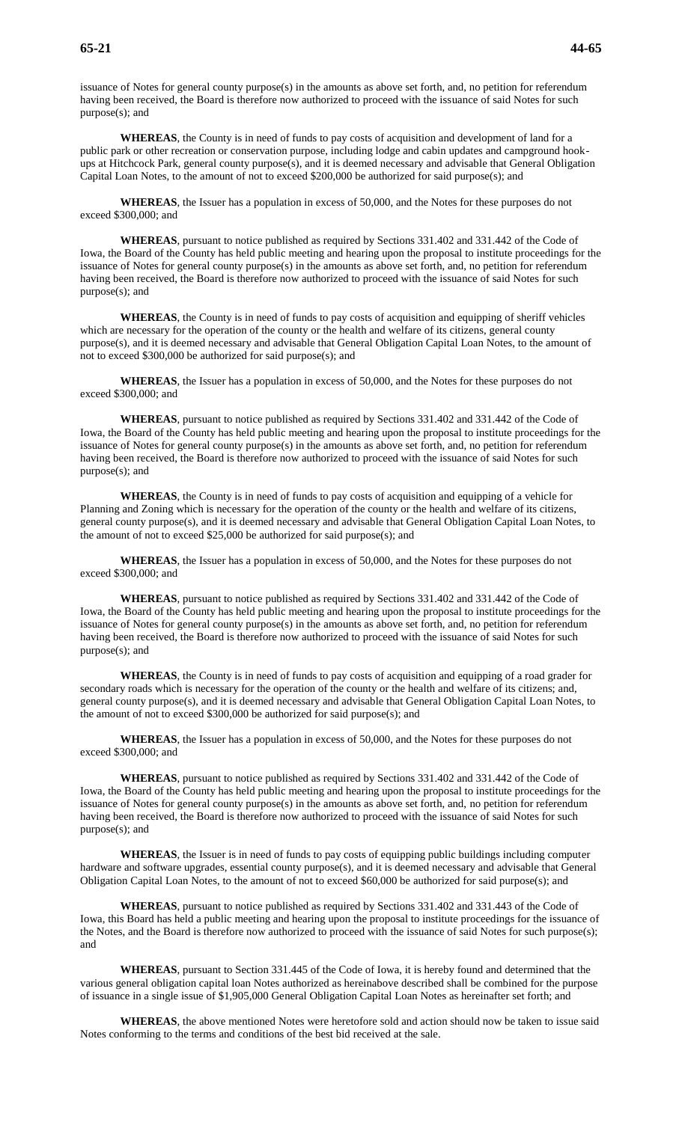issuance of Notes for general county purpose(s) in the amounts as above set forth, and, no petition for referendum having been received, the Board is therefore now authorized to proceed with the issuance of said Notes for such purpose(s); and

**WHEREAS**, the County is in need of funds to pay costs of acquisition and development of land for a public park or other recreation or conservation purpose, including lodge and cabin updates and campground hookups at Hitchcock Park, general county purpose(s), and it is deemed necessary and advisable that General Obligation Capital Loan Notes, to the amount of not to exceed \$200,000 be authorized for said purpose(s); and

**WHEREAS**, the Issuer has a population in excess of 50,000, and the Notes for these purposes do not exceed \$300,000; and

**WHEREAS**, pursuant to notice published as required by Sections 331.402 and 331.442 of the Code of Iowa, the Board of the County has held public meeting and hearing upon the proposal to institute proceedings for the issuance of Notes for general county purpose(s) in the amounts as above set forth, and, no petition for referendum having been received, the Board is therefore now authorized to proceed with the issuance of said Notes for such purpose(s); and

**WHEREAS**, the County is in need of funds to pay costs of acquisition and equipping of sheriff vehicles which are necessary for the operation of the county or the health and welfare of its citizens, general county purpose(s), and it is deemed necessary and advisable that General Obligation Capital Loan Notes, to the amount of not to exceed \$300,000 be authorized for said purpose(s); and

**WHEREAS**, the Issuer has a population in excess of 50,000, and the Notes for these purposes do not exceed \$300,000; and

**WHEREAS**, pursuant to notice published as required by Sections 331.402 and 331.442 of the Code of Iowa, the Board of the County has held public meeting and hearing upon the proposal to institute proceedings for the issuance of Notes for general county purpose(s) in the amounts as above set forth, and, no petition for referendum having been received, the Board is therefore now authorized to proceed with the issuance of said Notes for such purpose(s); and

**WHEREAS**, the County is in need of funds to pay costs of acquisition and equipping of a vehicle for Planning and Zoning which is necessary for the operation of the county or the health and welfare of its citizens, general county purpose(s), and it is deemed necessary and advisable that General Obligation Capital Loan Notes, to the amount of not to exceed \$25,000 be authorized for said purpose(s); and

**WHEREAS**, the Issuer has a population in excess of 50,000, and the Notes for these purposes do not exceed \$300,000; and

**WHEREAS**, pursuant to notice published as required by Sections 331.402 and 331.442 of the Code of Iowa, the Board of the County has held public meeting and hearing upon the proposal to institute proceedings for the issuance of Notes for general county purpose(s) in the amounts as above set forth, and, no petition for referendum having been received, the Board is therefore now authorized to proceed with the issuance of said Notes for such purpose(s); and

**WHEREAS**, the County is in need of funds to pay costs of acquisition and equipping of a road grader for secondary roads which is necessary for the operation of the county or the health and welfare of its citizens; and, general county purpose(s), and it is deemed necessary and advisable that General Obligation Capital Loan Notes, to the amount of not to exceed \$300,000 be authorized for said purpose(s); and

**WHEREAS**, the Issuer has a population in excess of 50,000, and the Notes for these purposes do not exceed \$300,000; and

**WHEREAS**, pursuant to notice published as required by Sections 331.402 and 331.442 of the Code of Iowa, the Board of the County has held public meeting and hearing upon the proposal to institute proceedings for the issuance of Notes for general county purpose(s) in the amounts as above set forth, and, no petition for referendum having been received, the Board is therefore now authorized to proceed with the issuance of said Notes for such purpose(s); and

**WHEREAS**, the Issuer is in need of funds to pay costs of equipping public buildings including computer hardware and software upgrades, essential county purpose(s), and it is deemed necessary and advisable that General Obligation Capital Loan Notes, to the amount of not to exceed \$60,000 be authorized for said purpose(s); and

**WHEREAS**, pursuant to notice published as required by Sections 331.402 and 331.443 of the Code of Iowa, this Board has held a public meeting and hearing upon the proposal to institute proceedings for the issuance of the Notes, and the Board is therefore now authorized to proceed with the issuance of said Notes for such purpose(s); and

**WHEREAS**, pursuant to Section 331.445 of the Code of Iowa, it is hereby found and determined that the various general obligation capital loan Notes authorized as hereinabove described shall be combined for the purpose of issuance in a single issue of \$1,905,000 General Obligation Capital Loan Notes as hereinafter set forth; and

**WHEREAS**, the above mentioned Notes were heretofore sold and action should now be taken to issue said Notes conforming to the terms and conditions of the best bid received at the sale.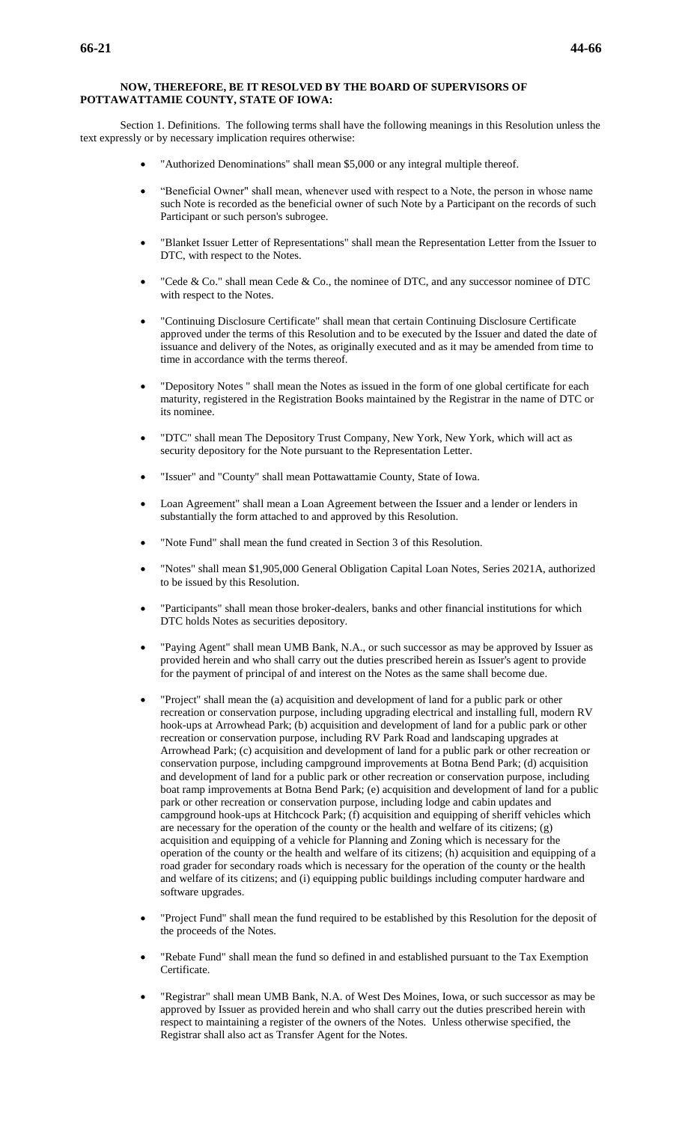### **NOW, THEREFORE, BE IT RESOLVED BY THE BOARD OF SUPERVISORS OF POTTAWATTAMIE COUNTY, STATE OF IOWA:**

Section 1. Definitions. The following terms shall have the following meanings in this Resolution unless the text expressly or by necessary implication requires otherwise:

- "Authorized Denominations" shall mean \$5,000 or any integral multiple thereof.
- "Beneficial Owner" shall mean, whenever used with respect to a Note, the person in whose name such Note is recorded as the beneficial owner of such Note by a Participant on the records of such Participant or such person's subrogee.
- "Blanket Issuer Letter of Representations" shall mean the Representation Letter from the Issuer to DTC, with respect to the Notes.
- "Cede & Co." shall mean Cede & Co., the nominee of DTC, and any successor nominee of DTC with respect to the Notes.
- "Continuing Disclosure Certificate" shall mean that certain Continuing Disclosure Certificate approved under the terms of this Resolution and to be executed by the Issuer and dated the date of issuance and delivery of the Notes, as originally executed and as it may be amended from time to time in accordance with the terms thereof.
- "Depository Notes " shall mean the Notes as issued in the form of one global certificate for each maturity, registered in the Registration Books maintained by the Registrar in the name of DTC or its nominee.
- "DTC" shall mean The Depository Trust Company, New York, New York, which will act as security depository for the Note pursuant to the Representation Letter.
- "Issuer" and "County" shall mean Pottawattamie County, State of Iowa.
- Loan Agreement" shall mean a Loan Agreement between the Issuer and a lender or lenders in substantially the form attached to and approved by this Resolution.
- "Note Fund" shall mean the fund created in Section 3 of this Resolution.
- "Notes" shall mean \$1,905,000 General Obligation Capital Loan Notes, Series 2021A, authorized to be issued by this Resolution.
- "Participants" shall mean those broker-dealers, banks and other financial institutions for which DTC holds Notes as securities depository.
- "Paying Agent" shall mean UMB Bank, N.A., or such successor as may be approved by Issuer as provided herein and who shall carry out the duties prescribed herein as Issuer's agent to provide for the payment of principal of and interest on the Notes as the same shall become due.
- "Project" shall mean the (a) acquisition and development of land for a public park or other recreation or conservation purpose, including upgrading electrical and installing full, modern RV hook-ups at Arrowhead Park; (b) acquisition and development of land for a public park or other recreation or conservation purpose, including RV Park Road and landscaping upgrades at Arrowhead Park; (c) acquisition and development of land for a public park or other recreation or conservation purpose, including campground improvements at Botna Bend Park; (d) acquisition and development of land for a public park or other recreation or conservation purpose, including boat ramp improvements at Botna Bend Park; (e) acquisition and development of land for a public park or other recreation or conservation purpose, including lodge and cabin updates and campground hook-ups at Hitchcock Park; (f) acquisition and equipping of sheriff vehicles which are necessary for the operation of the county or the health and welfare of its citizens;  $(g)$ acquisition and equipping of a vehicle for Planning and Zoning which is necessary for the operation of the county or the health and welfare of its citizens; (h) acquisition and equipping of a road grader for secondary roads which is necessary for the operation of the county or the health and welfare of its citizens; and (i) equipping public buildings including computer hardware and software upgrades.
- "Project Fund" shall mean the fund required to be established by this Resolution for the deposit of the proceeds of the Notes.
- "Rebate Fund" shall mean the fund so defined in and established pursuant to the Tax Exemption Certificate.
- "Registrar" shall mean UMB Bank, N.A. of West Des Moines, Iowa, or such successor as may be approved by Issuer as provided herein and who shall carry out the duties prescribed herein with respect to maintaining a register of the owners of the Notes. Unless otherwise specified, the Registrar shall also act as Transfer Agent for the Notes.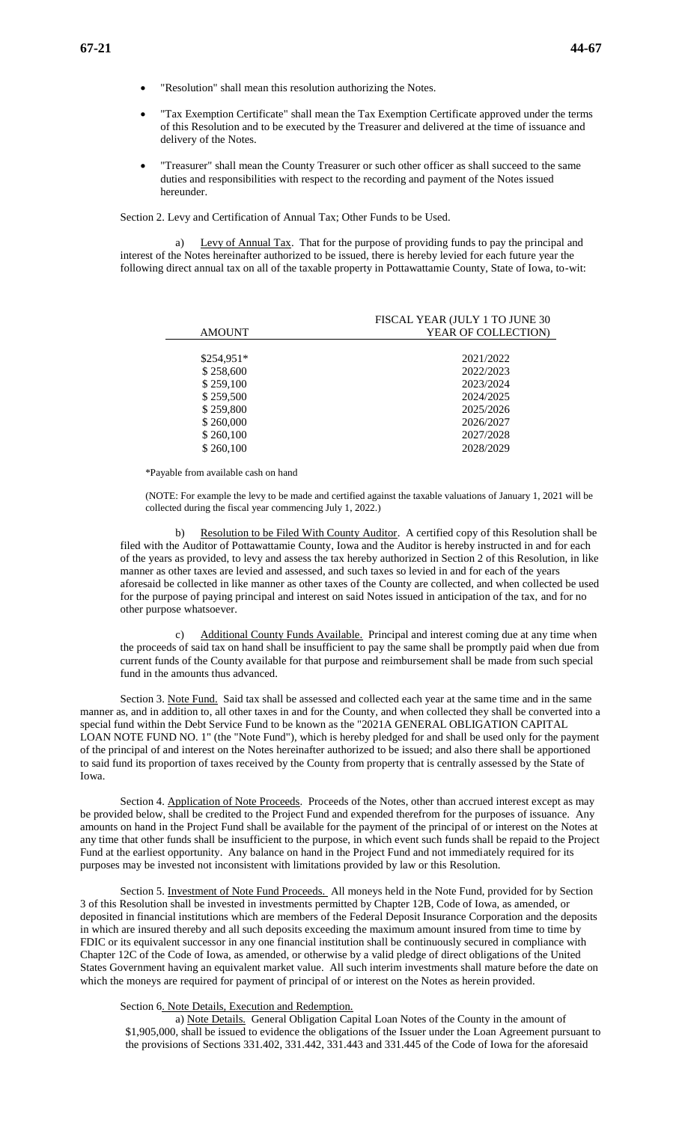- "Resolution" shall mean this resolution authorizing the Notes.
- "Tax Exemption Certificate" shall mean the Tax Exemption Certificate approved under the terms of this Resolution and to be executed by the Treasurer and delivered at the time of issuance and delivery of the Notes.
- "Treasurer" shall mean the County Treasurer or such other officer as shall succeed to the same duties and responsibilities with respect to the recording and payment of the Notes issued hereunder.

Section 2. Levy and Certification of Annual Tax; Other Funds to be Used.

Levy of Annual Tax. That for the purpose of providing funds to pay the principal and interest of the Notes hereinafter authorized to be issued, there is hereby levied for each future year the following direct annual tax on all of the taxable property in Pottawattamie County, State of Iowa, to-wit:

|               | FISCAL YEAR (JULY 1 TO JUNE 30 |
|---------------|--------------------------------|
| <b>AMOUNT</b> | YEAR OF COLLECTION)            |
|               |                                |
| $$254,951*$   | 2021/2022                      |
| \$258,600     | 2022/2023                      |
| \$259,100     | 2023/2024                      |
| \$259,500     | 2024/2025                      |
| \$259,800     | 2025/2026                      |
| \$260,000     | 2026/2027                      |
| \$260,100     | 2027/2028                      |
| \$260,100     | 2028/2029                      |

\*Payable from available cash on hand

(NOTE: For example the levy to be made and certified against the taxable valuations of January 1, 2021 will be collected during the fiscal year commencing July 1, 2022.)

b) Resolution to be Filed With County Auditor. A certified copy of this Resolution shall be filed with the Auditor of Pottawattamie County, Iowa and the Auditor is hereby instructed in and for each of the years as provided, to levy and assess the tax hereby authorized in Section 2 of this Resolution, in like manner as other taxes are levied and assessed, and such taxes so levied in and for each of the years aforesaid be collected in like manner as other taxes of the County are collected, and when collected be used for the purpose of paying principal and interest on said Notes issued in anticipation of the tax, and for no other purpose whatsoever.

Additional County Funds Available. Principal and interest coming due at any time when the proceeds of said tax on hand shall be insufficient to pay the same shall be promptly paid when due from current funds of the County available for that purpose and reimbursement shall be made from such special fund in the amounts thus advanced.

Section 3. Note Fund. Said tax shall be assessed and collected each year at the same time and in the same manner as, and in addition to, all other taxes in and for the County, and when collected they shall be converted into a special fund within the Debt Service Fund to be known as the "2021A GENERAL OBLIGATION CAPITAL LOAN NOTE FUND NO. 1" (the "Note Fund"), which is hereby pledged for and shall be used only for the payment of the principal of and interest on the Notes hereinafter authorized to be issued; and also there shall be apportioned to said fund its proportion of taxes received by the County from property that is centrally assessed by the State of Iowa.

Section 4. Application of Note Proceeds. Proceeds of the Notes, other than accrued interest except as may be provided below, shall be credited to the Project Fund and expended therefrom for the purposes of issuance. Any amounts on hand in the Project Fund shall be available for the payment of the principal of or interest on the Notes at any time that other funds shall be insufficient to the purpose, in which event such funds shall be repaid to the Project Fund at the earliest opportunity. Any balance on hand in the Project Fund and not immediately required for its purposes may be invested not inconsistent with limitations provided by law or this Resolution.

Section 5. Investment of Note Fund Proceeds. All moneys held in the Note Fund, provided for by Section 3 of this Resolution shall be invested in investments permitted by Chapter 12B, Code of Iowa, as amended, or deposited in financial institutions which are members of the Federal Deposit Insurance Corporation and the deposits in which are insured thereby and all such deposits exceeding the maximum amount insured from time to time by FDIC or its equivalent successor in any one financial institution shall be continuously secured in compliance with Chapter 12C of the Code of Iowa, as amended, or otherwise by a valid pledge of direct obligations of the United States Government having an equivalent market value. All such interim investments shall mature before the date on which the moneys are required for payment of principal of or interest on the Notes as herein provided.

Section 6. Note Details, Execution and Redemption.

a) Note Details. General Obligation Capital Loan Notes of the County in the amount of \$1,905,000, shall be issued to evidence the obligations of the Issuer under the Loan Agreement pursuant to the provisions of Sections 331.402, 331.442, 331.443 and 331.445 of the Code of Iowa for the aforesaid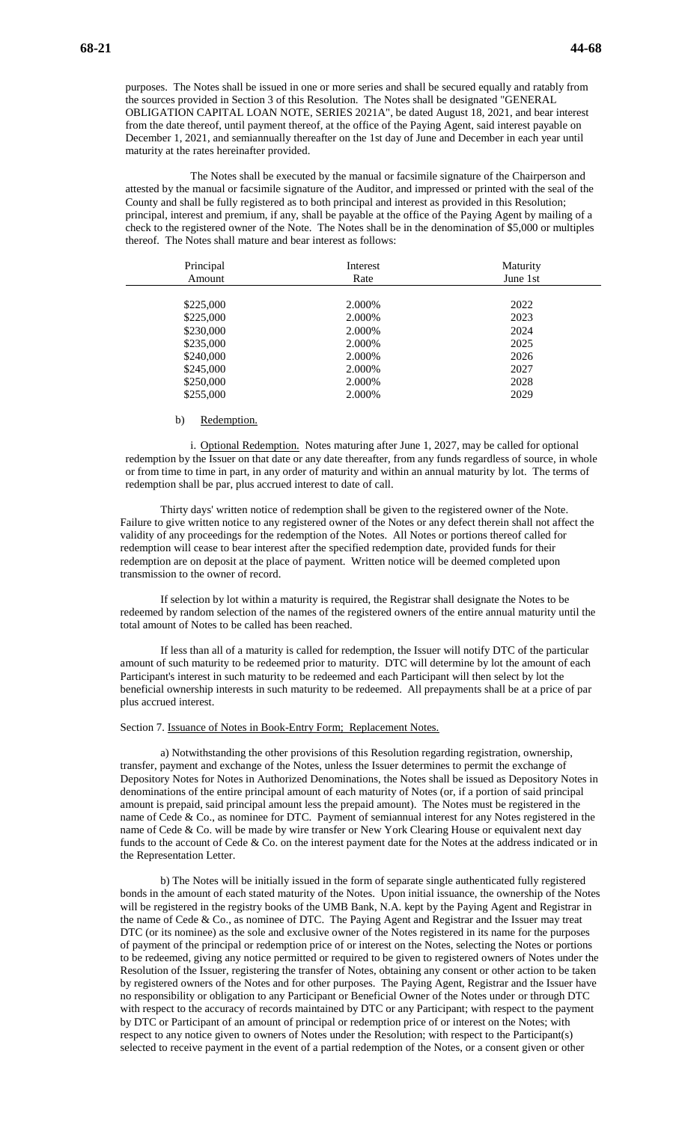purposes. The Notes shall be issued in one or more series and shall be secured equally and ratably from the sources provided in Section 3 of this Resolution. The Notes shall be designated "GENERAL OBLIGATION CAPITAL LOAN NOTE, SERIES 2021A", be dated August 18, 2021, and bear interest from the date thereof, until payment thereof, at the office of the Paying Agent, said interest payable on December 1, 2021, and semiannually thereafter on the 1st day of June and December in each year until maturity at the rates hereinafter provided.

The Notes shall be executed by the manual or facsimile signature of the Chairperson and attested by the manual or facsimile signature of the Auditor, and impressed or printed with the seal of the County and shall be fully registered as to both principal and interest as provided in this Resolution; principal, interest and premium, if any, shall be payable at the office of the Paying Agent by mailing of a check to the registered owner of the Note. The Notes shall be in the denomination of \$5,000 or multiples thereof. The Notes shall mature and bear interest as follows:

| Principal<br>Amount | Interest<br>Rate | Maturity<br>June 1st |
|---------------------|------------------|----------------------|
|                     |                  |                      |
| \$225,000           | 2.000\%          | 2022                 |
| \$225,000           | 2.000\%          | 2023                 |
| \$230,000           | 2.000\%          | 2024                 |
| \$235,000           | 2.000\%          | 2025                 |
| \$240,000           | 2.000\%          | 2026                 |
| \$245,000           | 2.000%           | 2027                 |
| \$250,000           | 2.000\%          | 2028                 |
| \$255,000           | 2.000\%          | 2029                 |

#### b) Redemption.

i. Optional Redemption. Notes maturing after June 1, 2027, may be called for optional redemption by the Issuer on that date or any date thereafter, from any funds regardless of source, in whole or from time to time in part, in any order of maturity and within an annual maturity by lot. The terms of redemption shall be par, plus accrued interest to date of call.

Thirty days' written notice of redemption shall be given to the registered owner of the Note. Failure to give written notice to any registered owner of the Notes or any defect therein shall not affect the validity of any proceedings for the redemption of the Notes. All Notes or portions thereof called for redemption will cease to bear interest after the specified redemption date, provided funds for their redemption are on deposit at the place of payment. Written notice will be deemed completed upon transmission to the owner of record.

If selection by lot within a maturity is required, the Registrar shall designate the Notes to be redeemed by random selection of the names of the registered owners of the entire annual maturity until the total amount of Notes to be called has been reached.

If less than all of a maturity is called for redemption, the Issuer will notify DTC of the particular amount of such maturity to be redeemed prior to maturity. DTC will determine by lot the amount of each Participant's interest in such maturity to be redeemed and each Participant will then select by lot the beneficial ownership interests in such maturity to be redeemed. All prepayments shall be at a price of par plus accrued interest.

#### Section 7. Issuance of Notes in Book-Entry Form; Replacement Notes.

a) Notwithstanding the other provisions of this Resolution regarding registration, ownership, transfer, payment and exchange of the Notes, unless the Issuer determines to permit the exchange of Depository Notes for Notes in Authorized Denominations, the Notes shall be issued as Depository Notes in denominations of the entire principal amount of each maturity of Notes (or, if a portion of said principal amount is prepaid, said principal amount less the prepaid amount). The Notes must be registered in the name of Cede & Co., as nominee for DTC. Payment of semiannual interest for any Notes registered in the name of Cede & Co. will be made by wire transfer or New York Clearing House or equivalent next day funds to the account of Cede & Co. on the interest payment date for the Notes at the address indicated or in the Representation Letter.

b) The Notes will be initially issued in the form of separate single authenticated fully registered bonds in the amount of each stated maturity of the Notes. Upon initial issuance, the ownership of the Notes will be registered in the registry books of the UMB Bank, N.A. kept by the Paying Agent and Registrar in the name of Cede & Co., as nominee of DTC. The Paying Agent and Registrar and the Issuer may treat DTC (or its nominee) as the sole and exclusive owner of the Notes registered in its name for the purposes of payment of the principal or redemption price of or interest on the Notes, selecting the Notes or portions to be redeemed, giving any notice permitted or required to be given to registered owners of Notes under the Resolution of the Issuer, registering the transfer of Notes, obtaining any consent or other action to be taken by registered owners of the Notes and for other purposes. The Paying Agent, Registrar and the Issuer have no responsibility or obligation to any Participant or Beneficial Owner of the Notes under or through DTC with respect to the accuracy of records maintained by DTC or any Participant; with respect to the payment by DTC or Participant of an amount of principal or redemption price of or interest on the Notes; with respect to any notice given to owners of Notes under the Resolution; with respect to the Participant(s) selected to receive payment in the event of a partial redemption of the Notes, or a consent given or other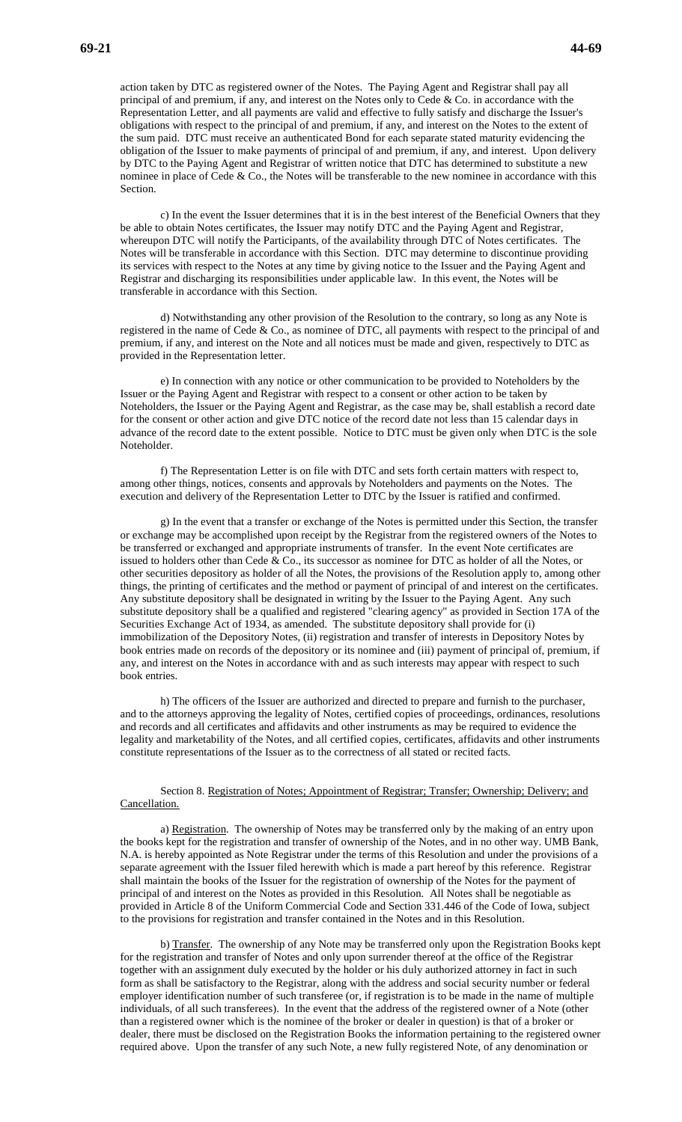action taken by DTC as registered owner of the Notes. The Paying Agent and Registrar shall pay all principal of and premium, if any, and interest on the Notes only to Cede & Co. in accordance with the Representation Letter, and all payments are valid and effective to fully satisfy and discharge the Issuer's obligations with respect to the principal of and premium, if any, and interest on the Notes to the extent of the sum paid. DTC must receive an authenticated Bond for each separate stated maturity evidencing the obligation of the Issuer to make payments of principal of and premium, if any, and interest. Upon delivery by DTC to the Paying Agent and Registrar of written notice that DTC has determined to substitute a new nominee in place of Cede & Co., the Notes will be transferable to the new nominee in accordance with this Section.

c) In the event the Issuer determines that it is in the best interest of the Beneficial Owners that they be able to obtain Notes certificates, the Issuer may notify DTC and the Paying Agent and Registrar, whereupon DTC will notify the Participants, of the availability through DTC of Notes certificates. The Notes will be transferable in accordance with this Section. DTC may determine to discontinue providing its services with respect to the Notes at any time by giving notice to the Issuer and the Paying Agent and Registrar and discharging its responsibilities under applicable law. In this event, the Notes will be transferable in accordance with this Section.

d) Notwithstanding any other provision of the Resolution to the contrary, so long as any Note is registered in the name of Cede & Co., as nominee of DTC, all payments with respect to the principal of and premium, if any, and interest on the Note and all notices must be made and given, respectively to DTC as provided in the Representation letter.

e) In connection with any notice or other communication to be provided to Noteholders by the Issuer or the Paying Agent and Registrar with respect to a consent or other action to be taken by Noteholders, the Issuer or the Paying Agent and Registrar, as the case may be, shall establish a record date for the consent or other action and give DTC notice of the record date not less than 15 calendar days in advance of the record date to the extent possible. Notice to DTC must be given only when DTC is the sole Noteholder.

f) The Representation Letter is on file with DTC and sets forth certain matters with respect to, among other things, notices, consents and approvals by Noteholders and payments on the Notes. The execution and delivery of the Representation Letter to DTC by the Issuer is ratified and confirmed.

g) In the event that a transfer or exchange of the Notes is permitted under this Section, the transfer or exchange may be accomplished upon receipt by the Registrar from the registered owners of the Notes to be transferred or exchanged and appropriate instruments of transfer. In the event Note certificates are issued to holders other than Cede & Co., its successor as nominee for DTC as holder of all the Notes, or other securities depository as holder of all the Notes, the provisions of the Resolution apply to, among other things, the printing of certificates and the method or payment of principal of and interest on the certificates. Any substitute depository shall be designated in writing by the Issuer to the Paying Agent. Any such substitute depository shall be a qualified and registered "clearing agency" as provided in Section 17A of the Securities Exchange Act of 1934, as amended. The substitute depository shall provide for (i) immobilization of the Depository Notes, (ii) registration and transfer of interests in Depository Notes by book entries made on records of the depository or its nominee and (iii) payment of principal of, premium, if any, and interest on the Notes in accordance with and as such interests may appear with respect to such book entries.

h) The officers of the Issuer are authorized and directed to prepare and furnish to the purchaser, and to the attorneys approving the legality of Notes, certified copies of proceedings, ordinances, resolutions and records and all certificates and affidavits and other instruments as may be required to evidence the legality and marketability of the Notes, and all certified copies, certificates, affidavits and other instruments constitute representations of the Issuer as to the correctness of all stated or recited facts.

#### Section 8. Registration of Notes; Appointment of Registrar; Transfer; Ownership; Delivery; and Cancellation.

a) Registration. The ownership of Notes may be transferred only by the making of an entry upon the books kept for the registration and transfer of ownership of the Notes, and in no other way. UMB Bank, N.A. is hereby appointed as Note Registrar under the terms of this Resolution and under the provisions of a separate agreement with the Issuer filed herewith which is made a part hereof by this reference. Registrar shall maintain the books of the Issuer for the registration of ownership of the Notes for the payment of principal of and interest on the Notes as provided in this Resolution. All Notes shall be negotiable as provided in Article 8 of the Uniform Commercial Code and Section 331.446 of the Code of Iowa, subject to the provisions for registration and transfer contained in the Notes and in this Resolution.

b) Transfer. The ownership of any Note may be transferred only upon the Registration Books kept for the registration and transfer of Notes and only upon surrender thereof at the office of the Registrar together with an assignment duly executed by the holder or his duly authorized attorney in fact in such form as shall be satisfactory to the Registrar, along with the address and social security number or federal employer identification number of such transferee (or, if registration is to be made in the name of multiple individuals, of all such transferees). In the event that the address of the registered owner of a Note (other than a registered owner which is the nominee of the broker or dealer in question) is that of a broker or dealer, there must be disclosed on the Registration Books the information pertaining to the registered owner required above. Upon the transfer of any such Note, a new fully registered Note, of any denomination or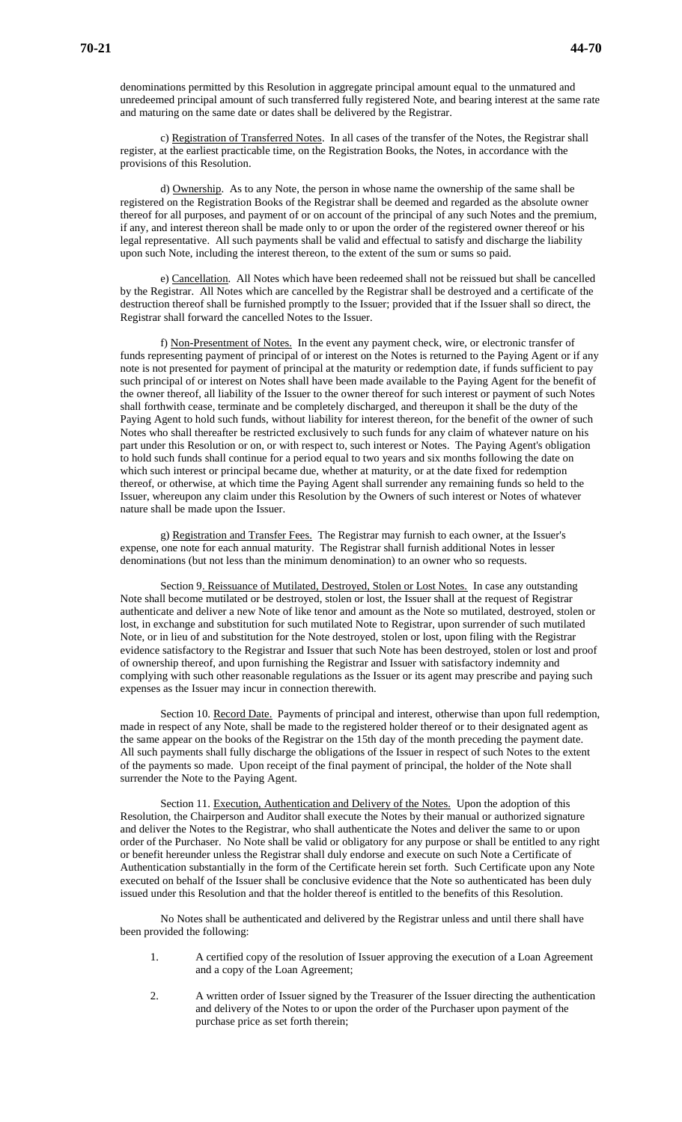denominations permitted by this Resolution in aggregate principal amount equal to the unmatured and unredeemed principal amount of such transferred fully registered Note, and bearing interest at the same rate and maturing on the same date or dates shall be delivered by the Registrar.

c) Registration of Transferred Notes. In all cases of the transfer of the Notes, the Registrar shall register, at the earliest practicable time, on the Registration Books, the Notes, in accordance with the provisions of this Resolution.

d) Ownership. As to any Note, the person in whose name the ownership of the same shall be registered on the Registration Books of the Registrar shall be deemed and regarded as the absolute owner thereof for all purposes, and payment of or on account of the principal of any such Notes and the premium, if any, and interest thereon shall be made only to or upon the order of the registered owner thereof or his legal representative. All such payments shall be valid and effectual to satisfy and discharge the liability upon such Note, including the interest thereon, to the extent of the sum or sums so paid.

e) Cancellation. All Notes which have been redeemed shall not be reissued but shall be cancelled by the Registrar. All Notes which are cancelled by the Registrar shall be destroyed and a certificate of the destruction thereof shall be furnished promptly to the Issuer; provided that if the Issuer shall so direct, the Registrar shall forward the cancelled Notes to the Issuer.

f) Non-Presentment of Notes. In the event any payment check, wire, or electronic transfer of funds representing payment of principal of or interest on the Notes is returned to the Paying Agent or if any note is not presented for payment of principal at the maturity or redemption date, if funds sufficient to pay such principal of or interest on Notes shall have been made available to the Paying Agent for the benefit of the owner thereof, all liability of the Issuer to the owner thereof for such interest or payment of such Notes shall forthwith cease, terminate and be completely discharged, and thereupon it shall be the duty of the Paying Agent to hold such funds, without liability for interest thereon, for the benefit of the owner of such Notes who shall thereafter be restricted exclusively to such funds for any claim of whatever nature on his part under this Resolution or on, or with respect to, such interest or Notes. The Paying Agent's obligation to hold such funds shall continue for a period equal to two years and six months following the date on which such interest or principal became due, whether at maturity, or at the date fixed for redemption thereof, or otherwise, at which time the Paying Agent shall surrender any remaining funds so held to the Issuer, whereupon any claim under this Resolution by the Owners of such interest or Notes of whatever nature shall be made upon the Issuer.

g) Registration and Transfer Fees. The Registrar may furnish to each owner, at the Issuer's expense, one note for each annual maturity. The Registrar shall furnish additional Notes in lesser denominations (but not less than the minimum denomination) to an owner who so requests.

Section 9. Reissuance of Mutilated, Destroyed, Stolen or Lost Notes. In case any outstanding Note shall become mutilated or be destroyed, stolen or lost, the Issuer shall at the request of Registrar authenticate and deliver a new Note of like tenor and amount as the Note so mutilated, destroyed, stolen or lost, in exchange and substitution for such mutilated Note to Registrar, upon surrender of such mutilated Note, or in lieu of and substitution for the Note destroyed, stolen or lost, upon filing with the Registrar evidence satisfactory to the Registrar and Issuer that such Note has been destroyed, stolen or lost and proof of ownership thereof, and upon furnishing the Registrar and Issuer with satisfactory indemnity and complying with such other reasonable regulations as the Issuer or its agent may prescribe and paying such expenses as the Issuer may incur in connection therewith.

Section 10. Record Date. Payments of principal and interest, otherwise than upon full redemption, made in respect of any Note, shall be made to the registered holder thereof or to their designated agent as the same appear on the books of the Registrar on the 15th day of the month preceding the payment date. All such payments shall fully discharge the obligations of the Issuer in respect of such Notes to the extent of the payments so made. Upon receipt of the final payment of principal, the holder of the Note shall surrender the Note to the Paying Agent.

Section 11. Execution, Authentication and Delivery of the Notes. Upon the adoption of this Resolution, the Chairperson and Auditor shall execute the Notes by their manual or authorized signature and deliver the Notes to the Registrar, who shall authenticate the Notes and deliver the same to or upon order of the Purchaser. No Note shall be valid or obligatory for any purpose or shall be entitled to any right or benefit hereunder unless the Registrar shall duly endorse and execute on such Note a Certificate of Authentication substantially in the form of the Certificate herein set forth. Such Certificate upon any Note executed on behalf of the Issuer shall be conclusive evidence that the Note so authenticated has been duly issued under this Resolution and that the holder thereof is entitled to the benefits of this Resolution.

No Notes shall be authenticated and delivered by the Registrar unless and until there shall have been provided the following:

- 1. A certified copy of the resolution of Issuer approving the execution of a Loan Agreement and a copy of the Loan Agreement;
- 2. A written order of Issuer signed by the Treasurer of the Issuer directing the authentication and delivery of the Notes to or upon the order of the Purchaser upon payment of the purchase price as set forth therein;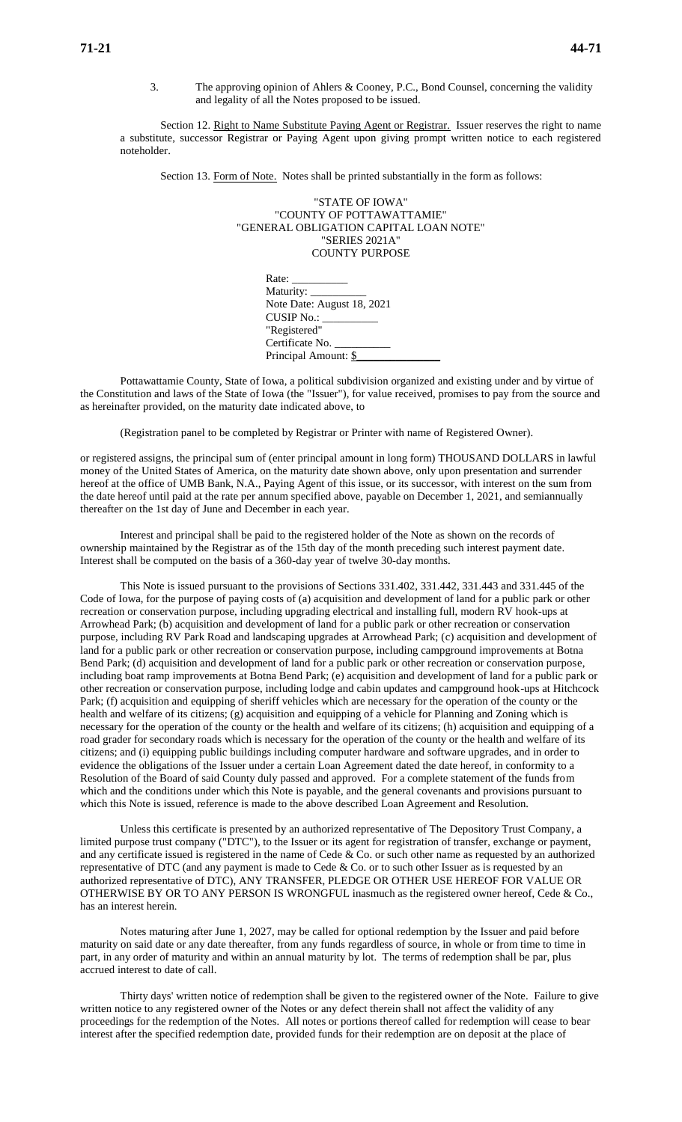3. The approving opinion of Ahlers & Cooney, P.C., Bond Counsel, concerning the validity and legality of all the Notes proposed to be issued.

Section 12. Right to Name Substitute Paying Agent or Registrar. Issuer reserves the right to name a substitute, successor Registrar or Paying Agent upon giving prompt written notice to each registered noteholder.

Section 13. Form of Note. Notes shall be printed substantially in the form as follows:

"STATE OF IOWA" "COUNTY OF POTTAWATTAMIE" "GENERAL OBLIGATION CAPITAL LOAN NOTE" "SERIES 2021A" COUNTY PURPOSE

| Rate: $\frac{1}{\sqrt{1-\frac{1}{2}} \cdot \frac{1}{2}}$ |  |
|----------------------------------------------------------|--|
| Maturity: ___________                                    |  |
| Note Date: August 18, 2021                               |  |
| CUSIP No.:                                               |  |
| "Registered"                                             |  |
| Certificate No.                                          |  |
| Principal Amount: \$                                     |  |

Pottawattamie County, State of Iowa, a political subdivision organized and existing under and by virtue of the Constitution and laws of the State of Iowa (the "Issuer"), for value received, promises to pay from the source and as hereinafter provided, on the maturity date indicated above, to

(Registration panel to be completed by Registrar or Printer with name of Registered Owner).

or registered assigns, the principal sum of (enter principal amount in long form) THOUSAND DOLLARS in lawful money of the United States of America, on the maturity date shown above, only upon presentation and surrender hereof at the office of UMB Bank, N.A., Paying Agent of this issue, or its successor, with interest on the sum from the date hereof until paid at the rate per annum specified above, payable on December 1, 2021, and semiannually thereafter on the 1st day of June and December in each year.

Interest and principal shall be paid to the registered holder of the Note as shown on the records of ownership maintained by the Registrar as of the 15th day of the month preceding such interest payment date. Interest shall be computed on the basis of a 360-day year of twelve 30-day months.

This Note is issued pursuant to the provisions of Sections 331.402, 331.442, 331.443 and 331.445 of the Code of Iowa, for the purpose of paying costs of (a) acquisition and development of land for a public park or other recreation or conservation purpose, including upgrading electrical and installing full, modern RV hook-ups at Arrowhead Park; (b) acquisition and development of land for a public park or other recreation or conservation purpose, including RV Park Road and landscaping upgrades at Arrowhead Park; (c) acquisition and development of land for a public park or other recreation or conservation purpose, including campground improvements at Botna Bend Park; (d) acquisition and development of land for a public park or other recreation or conservation purpose, including boat ramp improvements at Botna Bend Park; (e) acquisition and development of land for a public park or other recreation or conservation purpose, including lodge and cabin updates and campground hook-ups at Hitchcock Park; (f) acquisition and equipping of sheriff vehicles which are necessary for the operation of the county or the health and welfare of its citizens; (g) acquisition and equipping of a vehicle for Planning and Zoning which is necessary for the operation of the county or the health and welfare of its citizens; (h) acquisition and equipping of a road grader for secondary roads which is necessary for the operation of the county or the health and welfare of its citizens; and (i) equipping public buildings including computer hardware and software upgrades, and in order to evidence the obligations of the Issuer under a certain Loan Agreement dated the date hereof, in conformity to a Resolution of the Board of said County duly passed and approved. For a complete statement of the funds from which and the conditions under which this Note is payable, and the general covenants and provisions pursuant to which this Note is issued, reference is made to the above described Loan Agreement and Resolution.

Unless this certificate is presented by an authorized representative of The Depository Trust Company, a limited purpose trust company ("DTC"), to the Issuer or its agent for registration of transfer, exchange or payment, and any certificate issued is registered in the name of Cede  $\&$  Co. or such other name as requested by an authorized representative of DTC (and any payment is made to Cede & Co. or to such other Issuer as is requested by an authorized representative of DTC), ANY TRANSFER, PLEDGE OR OTHER USE HEREOF FOR VALUE OR OTHERWISE BY OR TO ANY PERSON IS WRONGFUL inasmuch as the registered owner hereof, Cede & Co., has an interest herein.

Notes maturing after June 1, 2027, may be called for optional redemption by the Issuer and paid before maturity on said date or any date thereafter, from any funds regardless of source, in whole or from time to time in part, in any order of maturity and within an annual maturity by lot. The terms of redemption shall be par, plus accrued interest to date of call.

Thirty days' written notice of redemption shall be given to the registered owner of the Note. Failure to give written notice to any registered owner of the Notes or any defect therein shall not affect the validity of any proceedings for the redemption of the Notes. All notes or portions thereof called for redemption will cease to bear interest after the specified redemption date, provided funds for their redemption are on deposit at the place of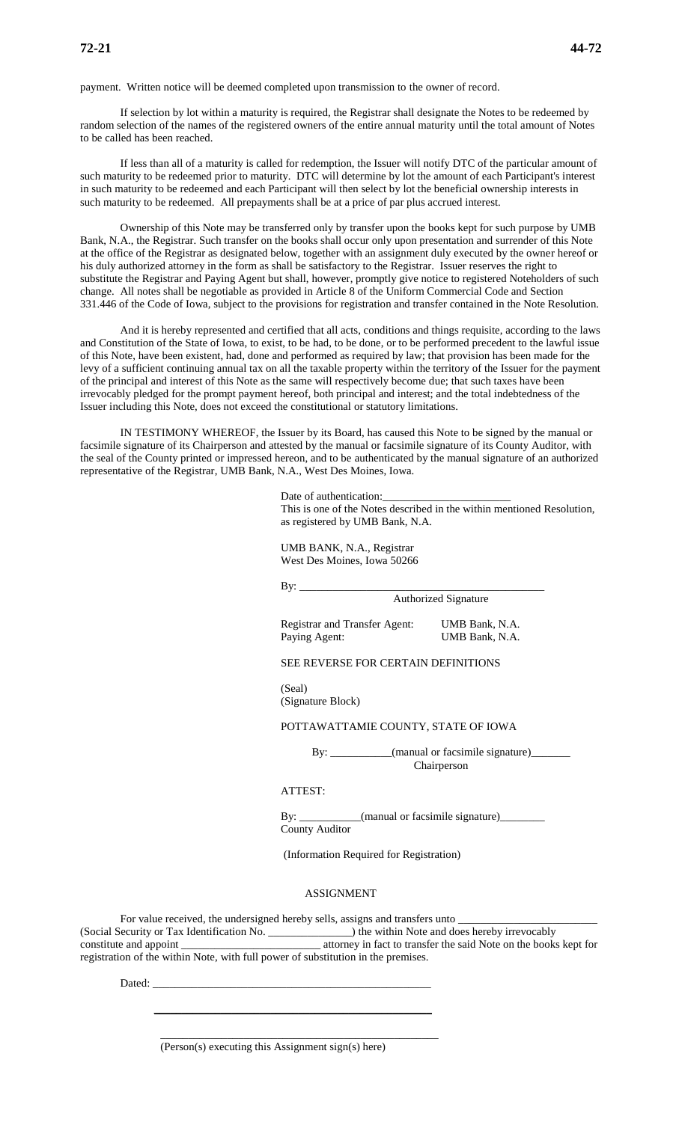payment. Written notice will be deemed completed upon transmission to the owner of record.

If selection by lot within a maturity is required, the Registrar shall designate the Notes to be redeemed by random selection of the names of the registered owners of the entire annual maturity until the total amount of Notes to be called has been reached.

If less than all of a maturity is called for redemption, the Issuer will notify DTC of the particular amount of such maturity to be redeemed prior to maturity. DTC will determine by lot the amount of each Participant's interest in such maturity to be redeemed and each Participant will then select by lot the beneficial ownership interests in such maturity to be redeemed. All prepayments shall be at a price of par plus accrued interest.

Ownership of this Note may be transferred only by transfer upon the books kept for such purpose by UMB Bank, N.A., the Registrar. Such transfer on the books shall occur only upon presentation and surrender of this Note at the office of the Registrar as designated below, together with an assignment duly executed by the owner hereof or his duly authorized attorney in the form as shall be satisfactory to the Registrar. Issuer reserves the right to substitute the Registrar and Paying Agent but shall, however, promptly give notice to registered Noteholders of such change. All notes shall be negotiable as provided in Article 8 of the Uniform Commercial Code and Section 331.446 of the Code of Iowa, subject to the provisions for registration and transfer contained in the Note Resolution.

And it is hereby represented and certified that all acts, conditions and things requisite, according to the laws and Constitution of the State of Iowa, to exist, to be had, to be done, or to be performed precedent to the lawful issue of this Note, have been existent, had, done and performed as required by law; that provision has been made for the levy of a sufficient continuing annual tax on all the taxable property within the territory of the Issuer for the payment of the principal and interest of this Note as the same will respectively become due; that such taxes have been irrevocably pledged for the prompt payment hereof, both principal and interest; and the total indebtedness of the Issuer including this Note, does not exceed the constitutional or statutory limitations.

IN TESTIMONY WHEREOF, the Issuer by its Board, has caused this Note to be signed by the manual or facsimile signature of its Chairperson and attested by the manual or facsimile signature of its County Auditor, with the seal of the County printed or impressed hereon, and to be authenticated by the manual signature of an authorized representative of the Registrar, UMB Bank, N.A., West Des Moines, Iowa.

> Date of authentication: This is one of the Notes described in the within mentioned Resolution, as registered by UMB Bank, N.A.

UMB BANK, N.A., Registrar West Des Moines, Iowa 50266

By: \_\_\_\_\_\_\_\_\_\_\_\_\_\_\_\_\_\_\_\_\_\_\_\_\_\_\_\_\_\_\_\_\_\_\_\_\_\_\_\_\_\_\_\_

Authorized Signature

Registrar and Transfer Agent: UMB Bank, N.A. Paying Agent: UMB Bank, N.A.

SEE REVERSE FOR CERTAIN DEFINITIONS

(Seal) (Signature Block)

POTTAWATTAMIE COUNTY, STATE OF IOWA

By: \_\_\_\_\_\_\_\_\_\_\_(manual or facsimile signature)\_\_\_\_\_\_\_ Chairperson

### ATTEST:

By: \_\_\_\_\_\_\_\_\_\_\_(manual or facsimile signature)\_\_\_\_\_\_\_\_ County Auditor

(Information Required for Registration)

#### ASSIGNMENT

For value received, the undersigned hereby sells, assigns and transfers unto \_\_\_\_\_\_\_\_\_\_\_\_\_\_\_\_\_\_\_\_\_\_\_\_\_ (Social Security or Tax Identification No. \_\_\_\_\_\_\_\_\_\_\_\_\_ constitute and appoint \_\_\_\_\_\_\_\_\_\_\_\_\_\_\_\_\_\_\_\_\_\_\_\_\_ attorney in fact to transfer the said Note on the books kept for registration of the within Note, with full power of substitution in the premises.

Dated:

(Person(s) executing this Assignment sign(s) here)

 $\mathcal{L}_\text{max}$  , and the contract of the contract of the contract of the contract of the contract of the contract of the contract of the contract of the contract of the contract of the contract of the contract of the contr

\_\_\_\_\_\_\_\_\_\_\_\_\_\_\_\_\_\_\_\_\_\_\_\_\_\_\_\_\_\_\_\_\_\_\_\_\_\_\_\_\_\_\_\_\_\_\_\_\_\_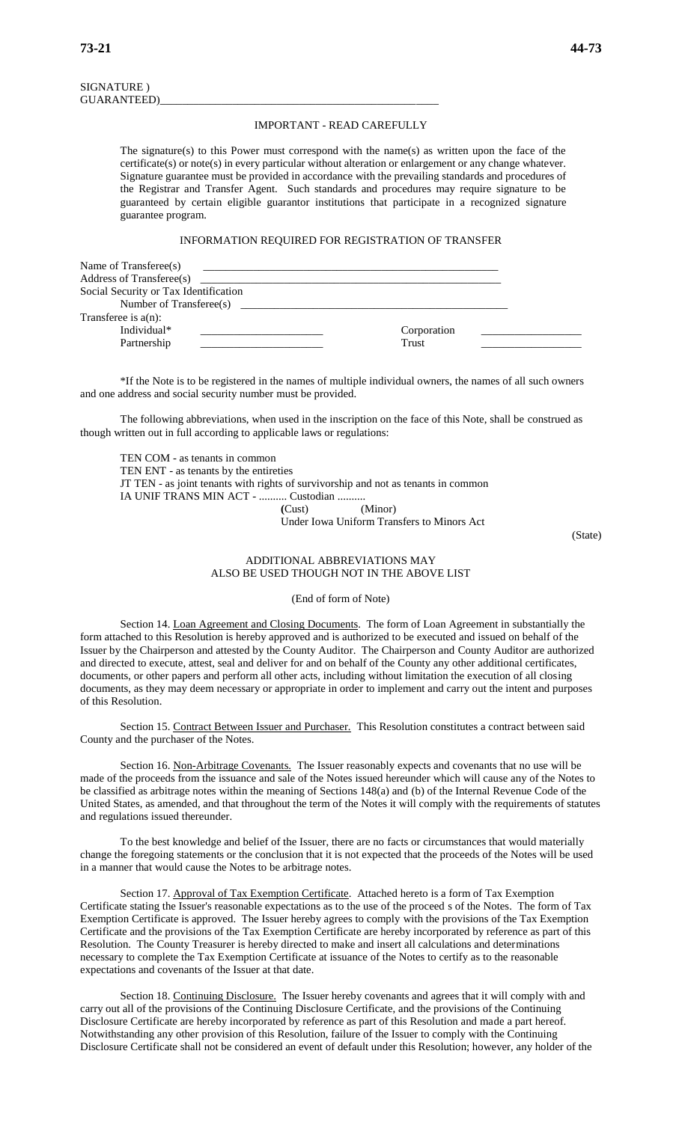### SIGNATURE ) GUARANTEED)\_\_\_\_\_\_\_\_\_\_\_\_\_\_\_\_\_\_\_\_\_\_\_\_\_\_\_\_\_\_\_\_\_\_\_\_\_\_\_\_\_\_\_\_\_\_\_\_\_\_

#### IMPORTANT - READ CAREFULLY

The signature(s) to this Power must correspond with the name(s) as written upon the face of the certificate(s) or note(s) in every particular without alteration or enlargement or any change whatever. Signature guarantee must be provided in accordance with the prevailing standards and procedures of the Registrar and Transfer Agent. Such standards and procedures may require signature to be guaranteed by certain eligible guarantor institutions that participate in a recognized signature guarantee program.

### INFORMATION REQUIRED FOR REGISTRATION OF TRANSFER

| Name of Transferee(s)                 |             |  |
|---------------------------------------|-------------|--|
| Address of Transferee(s)              |             |  |
| Social Security or Tax Identification |             |  |
| Number of Transferee(s)               |             |  |
| Transferee is $a(n)$ :                |             |  |
| Individual*                           | Corporation |  |
| Partnership                           | Trust       |  |
|                                       |             |  |

\*If the Note is to be registered in the names of multiple individual owners, the names of all such owners and one address and social security number must be provided.

The following abbreviations, when used in the inscription on the face of this Note, shall be construed as though written out in full according to applicable laws or regulations:

TEN COM - as tenants in common TEN ENT - as tenants by the entireties JT TEN - as joint tenants with rights of survivorship and not as tenants in common IA UNIF TRANS MIN ACT - .......... Custodian .......... **(**Cust) (Minor)

Under Iowa Uniform Transfers to Minors Act

(State)

### ADDITIONAL ABBREVIATIONS MAY ALSO BE USED THOUGH NOT IN THE ABOVE LIST

(End of form of Note)

Section 14. Loan Agreement and Closing Documents. The form of Loan Agreement in substantially the form attached to this Resolution is hereby approved and is authorized to be executed and issued on behalf of the Issuer by the Chairperson and attested by the County Auditor. The Chairperson and County Auditor are authorized and directed to execute, attest, seal and deliver for and on behalf of the County any other additional certificates, documents, or other papers and perform all other acts, including without limitation the execution of all closing documents, as they may deem necessary or appropriate in order to implement and carry out the intent and purposes of this Resolution.

Section 15. Contract Between Issuer and Purchaser. This Resolution constitutes a contract between said County and the purchaser of the Notes.

Section 16. Non-Arbitrage Covenants. The Issuer reasonably expects and covenants that no use will be made of the proceeds from the issuance and sale of the Notes issued hereunder which will cause any of the Notes to be classified as arbitrage notes within the meaning of Sections 148(a) and (b) of the Internal Revenue Code of the United States, as amended, and that throughout the term of the Notes it will comply with the requirements of statutes and regulations issued thereunder.

To the best knowledge and belief of the Issuer, there are no facts or circumstances that would materially change the foregoing statements or the conclusion that it is not expected that the proceeds of the Notes will be used in a manner that would cause the Notes to be arbitrage notes.

Section 17. Approval of Tax Exemption Certificate. Attached hereto is a form of Tax Exemption Certificate stating the Issuer's reasonable expectations as to the use of the proceed s of the Notes. The form of Tax Exemption Certificate is approved. The Issuer hereby agrees to comply with the provisions of the Tax Exemption Certificate and the provisions of the Tax Exemption Certificate are hereby incorporated by reference as part of this Resolution. The County Treasurer is hereby directed to make and insert all calculations and determinations necessary to complete the Tax Exemption Certificate at issuance of the Notes to certify as to the reasonable expectations and covenants of the Issuer at that date.

Section 18. Continuing Disclosure. The Issuer hereby covenants and agrees that it will comply with and carry out all of the provisions of the Continuing Disclosure Certificate, and the provisions of the Continuing Disclosure Certificate are hereby incorporated by reference as part of this Resolution and made a part hereof. Notwithstanding any other provision of this Resolution, failure of the Issuer to comply with the Continuing Disclosure Certificate shall not be considered an event of default under this Resolution; however, any holder of the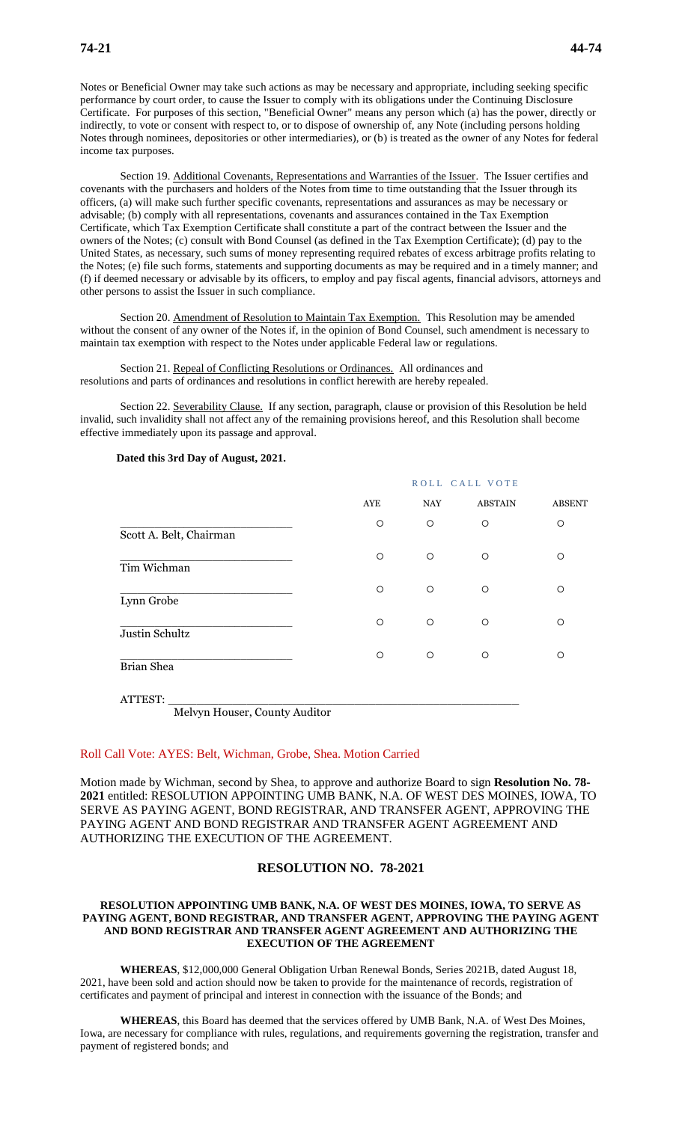Notes or Beneficial Owner may take such actions as may be necessary and appropriate, including seeking specific performance by court order, to cause the Issuer to comply with its obligations under the Continuing Disclosure Certificate. For purposes of this section, "Beneficial Owner" means any person which (a) has the power, directly or indirectly, to vote or consent with respect to, or to dispose of ownership of, any Note (including persons holding Notes through nominees, depositories or other intermediaries), or (b) is treated as the owner of any Notes for federal income tax purposes.

Section 19. Additional Covenants, Representations and Warranties of the Issuer. The Issuer certifies and covenants with the purchasers and holders of the Notes from time to time outstanding that the Issuer through its officers, (a) will make such further specific covenants, representations and assurances as may be necessary or advisable; (b) comply with all representations, covenants and assurances contained in the Tax Exemption Certificate, which Tax Exemption Certificate shall constitute a part of the contract between the Issuer and the owners of the Notes; (c) consult with Bond Counsel (as defined in the Tax Exemption Certificate); (d) pay to the United States, as necessary, such sums of money representing required rebates of excess arbitrage profits relating to the Notes; (e) file such forms, statements and supporting documents as may be required and in a timely manner; and (f) if deemed necessary or advisable by its officers, to employ and pay fiscal agents, financial advisors, attorneys and other persons to assist the Issuer in such compliance.

Section 20. Amendment of Resolution to Maintain Tax Exemption. This Resolution may be amended without the consent of any owner of the Notes if, in the opinion of Bond Counsel, such amendment is necessary to maintain tax exemption with respect to the Notes under applicable Federal law or regulations.

Section 21. Repeal of Conflicting Resolutions or Ordinances. All ordinances and resolutions and parts of ordinances and resolutions in conflict herewith are hereby repealed.

Section 22. Severability Clause. If any section, paragraph, clause or provision of this Resolution be held invalid, such invalidity shall not affect any of the remaining provisions hereof, and this Resolution shall become effective immediately upon its passage and approval.

# ROLL CALL VOTE AYE NAY ABSTAIN ABSENT \_\_\_\_\_\_\_\_\_\_\_\_\_\_\_\_\_\_\_\_\_\_\_\_\_\_\_\_\_\_ Scott A. Belt, Chairman \_\_\_\_\_\_\_\_\_\_\_\_\_\_\_\_\_\_\_\_\_\_\_\_\_\_\_\_\_\_ Tim Wichman  $\overline{\phantom{a}}$  , and the contract of the contract of  $\overline{\phantom{a}}$  , and  $\overline{\phantom{a}}$  , and  $\overline{\phantom{a}}$  , and  $\overline{\phantom{a}}$  , and  $\overline{\phantom{a}}$  , and  $\overline{\phantom{a}}$  , and  $\overline{\phantom{a}}$  , and  $\overline{\phantom{a}}$  , and  $\overline{\phantom{a}}$  , and  $\overline{\phantom{a$ Lynn Grobe \_\_\_\_\_\_\_\_\_\_\_\_\_\_\_\_\_\_\_\_\_\_\_\_\_\_\_\_\_\_ Justin Schultz \_\_\_\_\_\_\_\_\_\_\_\_\_\_\_\_\_\_\_\_\_\_\_\_\_\_\_\_\_\_ Brian Shea

**Dated this 3rd Day of August, 2021.**

ATTEST: \_\_\_\_\_\_\_\_\_\_\_\_\_\_\_\_\_\_\_\_\_\_\_\_\_\_\_\_\_\_\_\_\_\_\_\_\_\_\_\_\_\_\_\_\_\_\_\_\_ Melvyn Houser, County Auditor

### Roll Call Vote: AYES: Belt, Wichman, Grobe, Shea. Motion Carried

Motion made by Wichman, second by Shea, to approve and authorize Board to sign **Resolution No. 78- 2021** entitled: RESOLUTION APPOINTING UMB BANK, N.A. OF WEST DES MOINES, IOWA, TO SERVE AS PAYING AGENT, BOND REGISTRAR, AND TRANSFER AGENT, APPROVING THE PAYING AGENT AND BOND REGISTRAR AND TRANSFER AGENT AGREEMENT AND AUTHORIZING THE EXECUTION OF THE AGREEMENT.

# **RESOLUTION NO. 78-2021**

### **RESOLUTION APPOINTING UMB BANK, N.A. OF WEST DES MOINES, IOWA, TO SERVE AS PAYING AGENT, BOND REGISTRAR, AND TRANSFER AGENT, APPROVING THE PAYING AGENT AND BOND REGISTRAR AND TRANSFER AGENT AGREEMENT AND AUTHORIZING THE EXECUTION OF THE AGREEMENT**

**WHEREAS**, \$12,000,000 General Obligation Urban Renewal Bonds, Series 2021B, dated August 18, 2021, have been sold and action should now be taken to provide for the maintenance of records, registration of certificates and payment of principal and interest in connection with the issuance of the Bonds; and

**WHEREAS**, this Board has deemed that the services offered by UMB Bank, N.A. of West Des Moines, Iowa, are necessary for compliance with rules, regulations, and requirements governing the registration, transfer and payment of registered bonds; and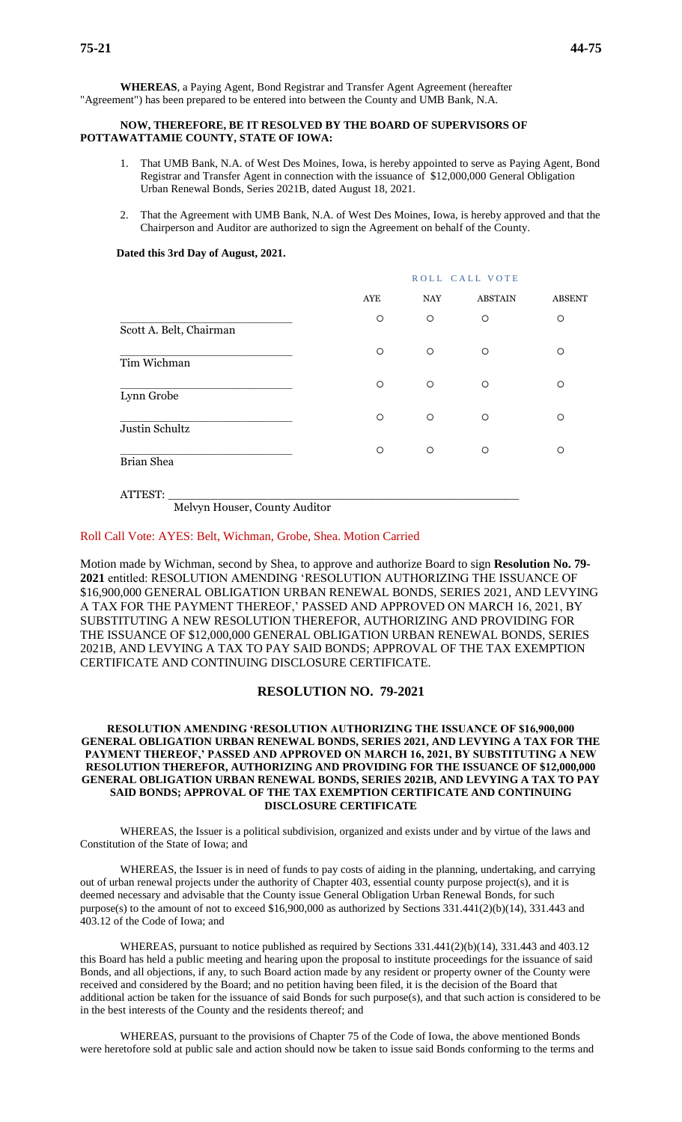**WHEREAS**, a Paying Agent, Bond Registrar and Transfer Agent Agreement (hereafter "Agreement") has been prepared to be entered into between the County and UMB Bank, N.A.

### **NOW, THEREFORE, BE IT RESOLVED BY THE BOARD OF SUPERVISORS OF POTTAWATTAMIE COUNTY, STATE OF IOWA:**

- 1. That UMB Bank, N.A. of West Des Moines, Iowa, is hereby appointed to serve as Paying Agent, Bond Registrar and Transfer Agent in connection with the issuance of \$12,000,000 General Obligation Urban Renewal Bonds, Series 2021B, dated August 18, 2021.
- 2. That the Agreement with UMB Bank, N.A. of West Des Moines, Iowa, is hereby approved and that the Chairperson and Auditor are authorized to sign the Agreement on behalf of the County.

#### **Dated this 3rd Day of August, 2021.**

|                         | ROLL CALL VOTE |            |                |               |
|-------------------------|----------------|------------|----------------|---------------|
|                         | AYE            | <b>NAY</b> | <b>ABSTAIN</b> | <b>ABSENT</b> |
| Scott A. Belt, Chairman | $\circ$        | $\circ$    | $\circ$        | $\circ$       |
| Tim Wichman             | $\circ$        | $\circ$    | $\circ$        | $\circ$       |
| Lynn Grobe              | $\circ$        | $\circ$    | $\circ$        | $\circ$       |
| Justin Schultz          | $\circ$        | $\circ$    | $\circ$        | $\circ$       |
| Brian Shea              | $\circ$        | $\circ$    | $\circ$        | $\circ$       |
|                         |                |            |                |               |

ATTEST: \_\_\_\_\_\_\_\_\_\_\_\_\_\_\_\_\_\_\_\_\_\_\_\_\_\_\_\_\_\_\_\_\_\_\_\_\_\_\_\_\_\_\_\_\_\_\_\_\_

Melvyn Houser, County Auditor

### Roll Call Vote: AYES: Belt, Wichman, Grobe, Shea. Motion Carried

Motion made by Wichman, second by Shea, to approve and authorize Board to sign **Resolution No. 79- 2021** entitled: RESOLUTION AMENDING 'RESOLUTION AUTHORIZING THE ISSUANCE OF \$16,900,000 GENERAL OBLIGATION URBAN RENEWAL BONDS, SERIES 2021, AND LEVYING A TAX FOR THE PAYMENT THEREOF,' PASSED AND APPROVED ON MARCH 16, 2021, BY SUBSTITUTING A NEW RESOLUTION THEREFOR, AUTHORIZING AND PROVIDING FOR THE ISSUANCE OF \$12,000,000 GENERAL OBLIGATION URBAN RENEWAL BONDS, SERIES 2021B, AND LEVYING A TAX TO PAY SAID BONDS; APPROVAL OF THE TAX EXEMPTION CERTIFICATE AND CONTINUING DISCLOSURE CERTIFICATE.

### **RESOLUTION NO. 79-2021**

### **RESOLUTION AMENDING 'RESOLUTION AUTHORIZING THE ISSUANCE OF \$16,900,000 GENERAL OBLIGATION URBAN RENEWAL BONDS, SERIES 2021, AND LEVYING A TAX FOR THE PAYMENT THEREOF,' PASSED AND APPROVED ON MARCH 16, 2021, BY SUBSTITUTING A NEW RESOLUTION THEREFOR, AUTHORIZING AND PROVIDING FOR THE ISSUANCE OF \$12,000,000 GENERAL OBLIGATION URBAN RENEWAL BONDS, SERIES 2021B, AND LEVYING A TAX TO PAY SAID BONDS; APPROVAL OF THE TAX EXEMPTION CERTIFICATE AND CONTINUING DISCLOSURE CERTIFICATE**

WHEREAS, the Issuer is a political subdivision, organized and exists under and by virtue of the laws and Constitution of the State of Iowa; and

WHEREAS, the Issuer is in need of funds to pay costs of aiding in the planning, undertaking, and carrying out of urban renewal projects under the authority of Chapter 403, essential county purpose project(s), and it is deemed necessary and advisable that the County issue General Obligation Urban Renewal Bonds, for such purpose(s) to the amount of not to exceed \$16,900,000 as authorized by Sections 331.441(2)(b)(14), 331.443 and 403.12 of the Code of Iowa; and

WHEREAS, pursuant to notice published as required by Sections 331.441(2)(b)(14), 331.443 and 403.12 this Board has held a public meeting and hearing upon the proposal to institute proceedings for the issuance of said Bonds, and all objections, if any, to such Board action made by any resident or property owner of the County were received and considered by the Board; and no petition having been filed, it is the decision of the Board that additional action be taken for the issuance of said Bonds for such purpose(s), and that such action is considered to be in the best interests of the County and the residents thereof; and

WHEREAS, pursuant to the provisions of Chapter 75 of the Code of Iowa, the above mentioned Bonds were heretofore sold at public sale and action should now be taken to issue said Bonds conforming to the terms and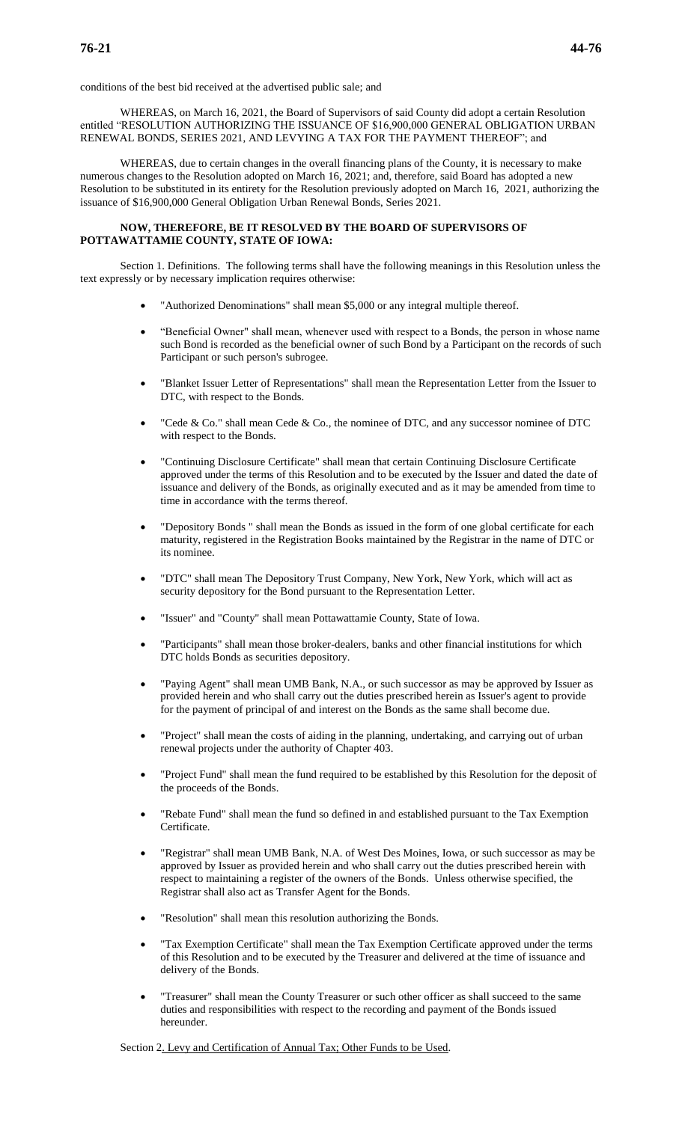conditions of the best bid received at the advertised public sale; and

WHEREAS, on March 16, 2021, the Board of Supervisors of said County did adopt a certain Resolution entitled "RESOLUTION AUTHORIZING THE ISSUANCE OF \$16,900,000 GENERAL OBLIGATION URBAN RENEWAL BONDS, SERIES 2021, AND LEVYING A TAX FOR THE PAYMENT THEREOF"; and

WHEREAS, due to certain changes in the overall financing plans of the County, it is necessary to make numerous changes to the Resolution adopted on March 16, 2021; and, therefore, said Board has adopted a new Resolution to be substituted in its entirety for the Resolution previously adopted on March 16, 2021, authorizing the issuance of \$16,900,000 General Obligation Urban Renewal Bonds, Series 2021.

### **NOW, THEREFORE, BE IT RESOLVED BY THE BOARD OF SUPERVISORS OF POTTAWATTAMIE COUNTY, STATE OF IOWA:**

Section 1. Definitions. The following terms shall have the following meanings in this Resolution unless the text expressly or by necessary implication requires otherwise:

- "Authorized Denominations" shall mean \$5,000 or any integral multiple thereof.
- "Beneficial Owner" shall mean, whenever used with respect to a Bonds, the person in whose name such Bond is recorded as the beneficial owner of such Bond by a Participant on the records of such Participant or such person's subrogee.
- "Blanket Issuer Letter of Representations" shall mean the Representation Letter from the Issuer to DTC, with respect to the Bonds.
- "Cede & Co." shall mean Cede & Co., the nominee of DTC, and any successor nominee of DTC with respect to the Bonds.
- "Continuing Disclosure Certificate" shall mean that certain Continuing Disclosure Certificate approved under the terms of this Resolution and to be executed by the Issuer and dated the date of issuance and delivery of the Bonds, as originally executed and as it may be amended from time to time in accordance with the terms thereof.
- "Depository Bonds " shall mean the Bonds as issued in the form of one global certificate for each maturity, registered in the Registration Books maintained by the Registrar in the name of DTC or its nominee.
- "DTC" shall mean The Depository Trust Company, New York, New York, which will act as security depository for the Bond pursuant to the Representation Letter.
- "Issuer" and "County" shall mean Pottawattamie County, State of Iowa.
- "Participants" shall mean those broker-dealers, banks and other financial institutions for which DTC holds Bonds as securities depository.
- "Paying Agent" shall mean UMB Bank, N.A., or such successor as may be approved by Issuer as provided herein and who shall carry out the duties prescribed herein as Issuer's agent to provide for the payment of principal of and interest on the Bonds as the same shall become due.
- "Project" shall mean the costs of aiding in the planning, undertaking, and carrying out of urban renewal projects under the authority of Chapter 403.
- "Project Fund" shall mean the fund required to be established by this Resolution for the deposit of the proceeds of the Bonds.
- "Rebate Fund" shall mean the fund so defined in and established pursuant to the Tax Exemption Certificate.
- "Registrar" shall mean UMB Bank, N.A. of West Des Moines, Iowa, or such successor as may be approved by Issuer as provided herein and who shall carry out the duties prescribed herein with respect to maintaining a register of the owners of the Bonds. Unless otherwise specified, the Registrar shall also act as Transfer Agent for the Bonds.
- "Resolution" shall mean this resolution authorizing the Bonds.
- "Tax Exemption Certificate" shall mean the Tax Exemption Certificate approved under the terms of this Resolution and to be executed by the Treasurer and delivered at the time of issuance and delivery of the Bonds.
- "Treasurer" shall mean the County Treasurer or such other officer as shall succeed to the same duties and responsibilities with respect to the recording and payment of the Bonds issued hereunder.

Section 2. Levy and Certification of Annual Tax; Other Funds to be Used.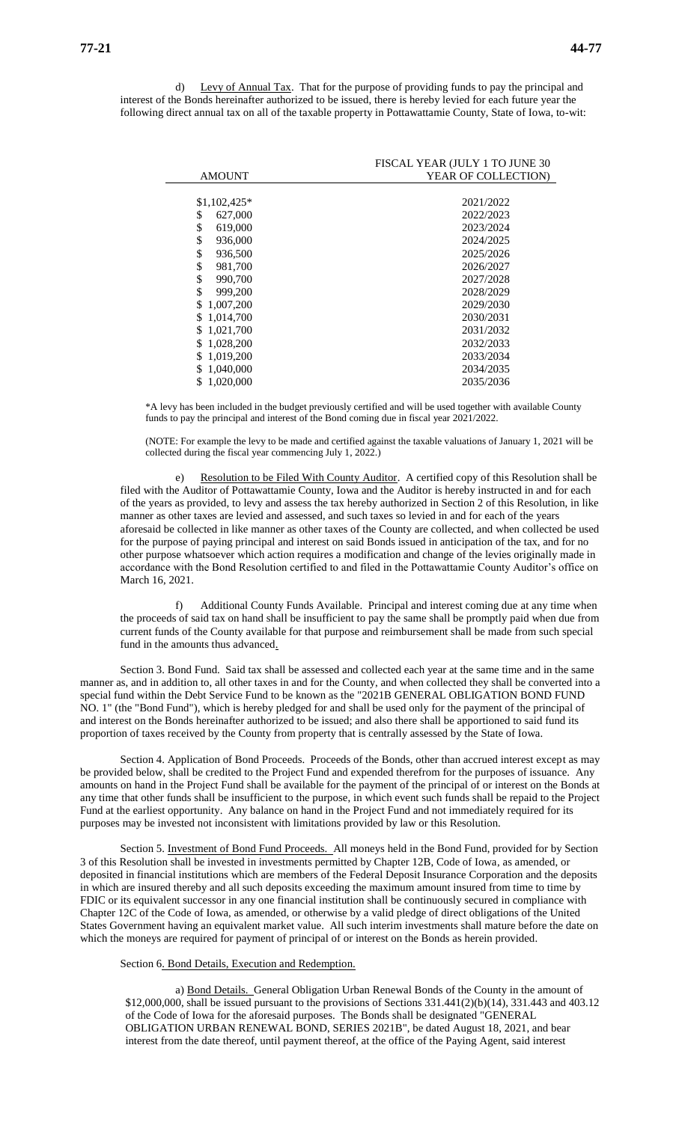d) Levy of Annual Tax. That for the purpose of providing funds to pay the principal and interest of the Bonds hereinafter authorized to be issued, there is hereby levied for each future year the following direct annual tax on all of the taxable property in Pottawattamie County, State of Iowa, to-wit:

|                  | FISCAL YEAR (JULY 1 TO JUNE 30 |
|------------------|--------------------------------|
| <b>AMOUNT</b>    | YEAR OF COLLECTION)            |
|                  |                                |
| $$1,102,425*$    | 2021/2022                      |
| 627,000<br>\$    | 2022/2023                      |
| \$<br>619,000    | 2023/2024                      |
| \$<br>936,000    | 2024/2025                      |
| \$<br>936,500    | 2025/2026                      |
| \$<br>981,700    | 2026/2027                      |
| \$<br>990,700    | 2027/2028                      |
| \$<br>999,200    | 2028/2029                      |
| 1,007,200<br>\$. | 2029/2030                      |
| \$1,014,700      | 2030/2031                      |
| \$1,021,700      | 2031/2032                      |
| \$1,028,200      | 2032/2033                      |
| 1,019,200<br>\$. | 2033/2034                      |
| 1,040,000<br>S.  | 2034/2035                      |
| 1,020,000<br>\$. | 2035/2036                      |
|                  |                                |

\*A levy has been included in the budget previously certified and will be used together with available County funds to pay the principal and interest of the Bond coming due in fiscal year 2021/2022.

(NOTE: For example the levy to be made and certified against the taxable valuations of January 1, 2021 will be collected during the fiscal year commencing July 1, 2022.)

e) Resolution to be Filed With County Auditor. A certified copy of this Resolution shall be filed with the Auditor of Pottawattamie County, Iowa and the Auditor is hereby instructed in and for each of the years as provided, to levy and assess the tax hereby authorized in Section 2 of this Resolution, in like manner as other taxes are levied and assessed, and such taxes so levied in and for each of the years aforesaid be collected in like manner as other taxes of the County are collected, and when collected be used for the purpose of paying principal and interest on said Bonds issued in anticipation of the tax, and for no other purpose whatsoever which action requires a modification and change of the levies originally made in accordance with the Bond Resolution certified to and filed in the Pottawattamie County Auditor's office on March 16, 2021.

Additional County Funds Available. Principal and interest coming due at any time when the proceeds of said tax on hand shall be insufficient to pay the same shall be promptly paid when due from current funds of the County available for that purpose and reimbursement shall be made from such special fund in the amounts thus advanced.

Section 3. Bond Fund. Said tax shall be assessed and collected each year at the same time and in the same manner as, and in addition to, all other taxes in and for the County, and when collected they shall be converted into a special fund within the Debt Service Fund to be known as the "2021B GENERAL OBLIGATION BOND FUND NO. 1" (the "Bond Fund"), which is hereby pledged for and shall be used only for the payment of the principal of and interest on the Bonds hereinafter authorized to be issued; and also there shall be apportioned to said fund its proportion of taxes received by the County from property that is centrally assessed by the State of Iowa.

Section 4. Application of Bond Proceeds. Proceeds of the Bonds, other than accrued interest except as may be provided below, shall be credited to the Project Fund and expended therefrom for the purposes of issuance. Any amounts on hand in the Project Fund shall be available for the payment of the principal of or interest on the Bonds at any time that other funds shall be insufficient to the purpose, in which event such funds shall be repaid to the Project Fund at the earliest opportunity. Any balance on hand in the Project Fund and not immediately required for its purposes may be invested not inconsistent with limitations provided by law or this Resolution.

Section 5. Investment of Bond Fund Proceeds. All moneys held in the Bond Fund, provided for by Section 3 of this Resolution shall be invested in investments permitted by Chapter 12B, Code of Iowa, as amended, or deposited in financial institutions which are members of the Federal Deposit Insurance Corporation and the deposits in which are insured thereby and all such deposits exceeding the maximum amount insured from time to time by FDIC or its equivalent successor in any one financial institution shall be continuously secured in compliance with Chapter 12C of the Code of Iowa, as amended, or otherwise by a valid pledge of direct obligations of the United States Government having an equivalent market value. All such interim investments shall mature before the date on which the moneys are required for payment of principal of or interest on the Bonds as herein provided.

Section 6. Bond Details, Execution and Redemption.

a) Bond Details. General Obligation Urban Renewal Bonds of the County in the amount of \$12,000,000, shall be issued pursuant to the provisions of Sections 331.441(2)(b)(14), 331.443 and 403.12 of the Code of Iowa for the aforesaid purposes. The Bonds shall be designated "GENERAL OBLIGATION URBAN RENEWAL BOND, SERIES 2021B", be dated August 18, 2021, and bear interest from the date thereof, until payment thereof, at the office of the Paying Agent, said interest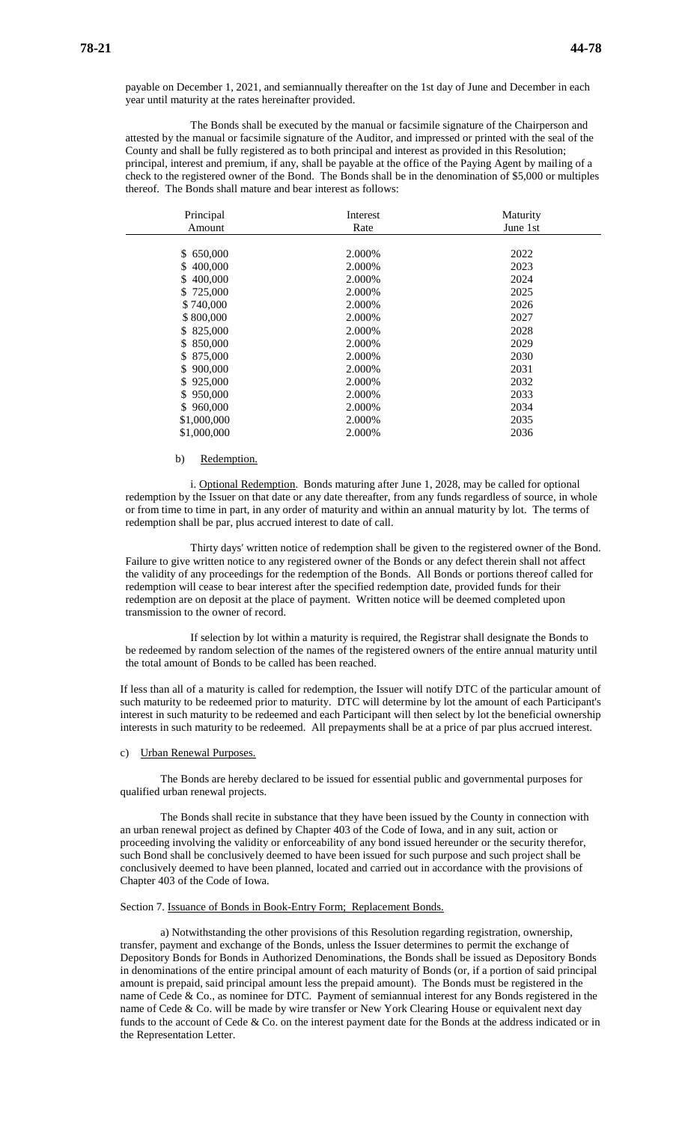payable on December 1, 2021, and semiannually thereafter on the 1st day of June and December in each year until maturity at the rates hereinafter provided.

The Bonds shall be executed by the manual or facsimile signature of the Chairperson and attested by the manual or facsimile signature of the Auditor, and impressed or printed with the seal of the County and shall be fully registered as to both principal and interest as provided in this Resolution; principal, interest and premium, if any, shall be payable at the office of the Paying Agent by mailing of a check to the registered owner of the Bond. The Bonds shall be in the denomination of \$5,000 or multiples thereof. The Bonds shall mature and bear interest as follows:

| Principal     | Interest | Maturity |
|---------------|----------|----------|
| Amount        | Rate     | June 1st |
|               |          |          |
| \$650,000     | 2.000%   | 2022     |
| \$400,000     | 2.000\%  | 2023     |
| \$400,000     | 2.000%   | 2024     |
| \$725,000     | 2.000\%  | 2025     |
| \$740,000     | 2.000\%  | 2026     |
| \$800,000     | 2.000%   | 2027     |
| \$ 825,000    | 2.000\%  | 2028     |
| \$850,000     | 2.000%   | 2029     |
| \$ 875,000    | 2.000\%  | 2030     |
| 900,000<br>S. | 2.000%   | 2031     |
| \$925,000     | 2.000%   | 2032     |
| 950,000<br>S. | 2.000%   | 2033     |
| \$960,000     | 2.000%   | 2034     |
| \$1,000,000   | 2.000%   | 2035     |
| \$1,000,000   | 2.000%   | 2036     |

#### b) Redemption.

i. Optional Redemption. Bonds maturing after June 1, 2028, may be called for optional redemption by the Issuer on that date or any date thereafter, from any funds regardless of source, in whole or from time to time in part, in any order of maturity and within an annual maturity by lot. The terms of redemption shall be par, plus accrued interest to date of call.

Thirty days' written notice of redemption shall be given to the registered owner of the Bond. Failure to give written notice to any registered owner of the Bonds or any defect therein shall not affect the validity of any proceedings for the redemption of the Bonds. All Bonds or portions thereof called for redemption will cease to bear interest after the specified redemption date, provided funds for their redemption are on deposit at the place of payment. Written notice will be deemed completed upon transmission to the owner of record.

If selection by lot within a maturity is required, the Registrar shall designate the Bonds to be redeemed by random selection of the names of the registered owners of the entire annual maturity until the total amount of Bonds to be called has been reached.

If less than all of a maturity is called for redemption, the Issuer will notify DTC of the particular amount of such maturity to be redeemed prior to maturity. DTC will determine by lot the amount of each Participant's interest in such maturity to be redeemed and each Participant will then select by lot the beneficial ownership interests in such maturity to be redeemed. All prepayments shall be at a price of par plus accrued interest.

#### c) Urban Renewal Purposes.

The Bonds are hereby declared to be issued for essential public and governmental purposes for qualified urban renewal projects.

The Bonds shall recite in substance that they have been issued by the County in connection with an urban renewal project as defined by Chapter 403 of the Code of Iowa, and in any suit, action or proceeding involving the validity or enforceability of any bond issued hereunder or the security therefor, such Bond shall be conclusively deemed to have been issued for such purpose and such project shall be conclusively deemed to have been planned, located and carried out in accordance with the provisions of Chapter 403 of the Code of Iowa.

#### Section 7. Issuance of Bonds in Book-Entry Form; Replacement Bonds.

a) Notwithstanding the other provisions of this Resolution regarding registration, ownership, transfer, payment and exchange of the Bonds, unless the Issuer determines to permit the exchange of Depository Bonds for Bonds in Authorized Denominations, the Bonds shall be issued as Depository Bonds in denominations of the entire principal amount of each maturity of Bonds (or, if a portion of said principal amount is prepaid, said principal amount less the prepaid amount). The Bonds must be registered in the name of Cede & Co., as nominee for DTC. Payment of semiannual interest for any Bonds registered in the name of Cede & Co. will be made by wire transfer or New York Clearing House or equivalent next day funds to the account of Cede & Co. on the interest payment date for the Bonds at the address indicated or in the Representation Letter.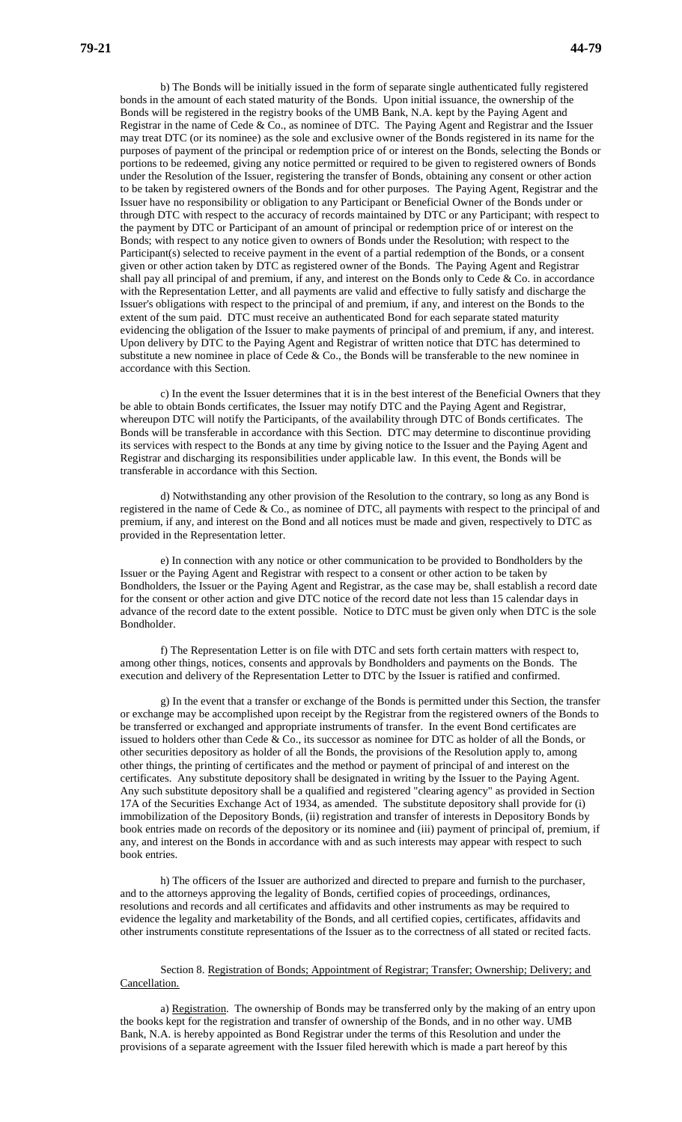b) The Bonds will be initially issued in the form of separate single authenticated fully registered bonds in the amount of each stated maturity of the Bonds. Upon initial issuance, the ownership of the Bonds will be registered in the registry books of the UMB Bank, N.A. kept by the Paying Agent and Registrar in the name of Cede & Co., as nominee of DTC. The Paying Agent and Registrar and the Issuer may treat DTC (or its nominee) as the sole and exclusive owner of the Bonds registered in its name for the purposes of payment of the principal or redemption price of or interest on the Bonds, selecting the Bonds or portions to be redeemed, giving any notice permitted or required to be given to registered owners of Bonds under the Resolution of the Issuer, registering the transfer of Bonds, obtaining any consent or other action to be taken by registered owners of the Bonds and for other purposes. The Paying Agent, Registrar and the Issuer have no responsibility or obligation to any Participant or Beneficial Owner of the Bonds under or through DTC with respect to the accuracy of records maintained by DTC or any Participant; with respect to the payment by DTC or Participant of an amount of principal or redemption price of or interest on the Bonds; with respect to any notice given to owners of Bonds under the Resolution; with respect to the Participant(s) selected to receive payment in the event of a partial redemption of the Bonds, or a consent given or other action taken by DTC as registered owner of the Bonds. The Paying Agent and Registrar shall pay all principal of and premium, if any, and interest on the Bonds only to Cede & Co. in accordance with the Representation Letter, and all payments are valid and effective to fully satisfy and discharge the Issuer's obligations with respect to the principal of and premium, if any, and interest on the Bonds to the extent of the sum paid. DTC must receive an authenticated Bond for each separate stated maturity evidencing the obligation of the Issuer to make payments of principal of and premium, if any, and interest. Upon delivery by DTC to the Paying Agent and Registrar of written notice that DTC has determined to substitute a new nominee in place of Cede  $\&$  Co., the Bonds will be transferable to the new nominee in accordance with this Section.

c) In the event the Issuer determines that it is in the best interest of the Beneficial Owners that they be able to obtain Bonds certificates, the Issuer may notify DTC and the Paying Agent and Registrar, whereupon DTC will notify the Participants, of the availability through DTC of Bonds certificates. The Bonds will be transferable in accordance with this Section. DTC may determine to discontinue providing its services with respect to the Bonds at any time by giving notice to the Issuer and the Paying Agent and Registrar and discharging its responsibilities under applicable law. In this event, the Bonds will be transferable in accordance with this Section.

d) Notwithstanding any other provision of the Resolution to the contrary, so long as any Bond is registered in the name of Cede & Co., as nominee of DTC, all payments with respect to the principal of and premium, if any, and interest on the Bond and all notices must be made and given, respectively to DTC as provided in the Representation letter.

e) In connection with any notice or other communication to be provided to Bondholders by the Issuer or the Paying Agent and Registrar with respect to a consent or other action to be taken by Bondholders, the Issuer or the Paying Agent and Registrar, as the case may be, shall establish a record date for the consent or other action and give DTC notice of the record date not less than 15 calendar days in advance of the record date to the extent possible. Notice to DTC must be given only when DTC is the sole Bondholder.

f) The Representation Letter is on file with DTC and sets forth certain matters with respect to, among other things, notices, consents and approvals by Bondholders and payments on the Bonds. The execution and delivery of the Representation Letter to DTC by the Issuer is ratified and confirmed.

g) In the event that a transfer or exchange of the Bonds is permitted under this Section, the transfer or exchange may be accomplished upon receipt by the Registrar from the registered owners of the Bonds to be transferred or exchanged and appropriate instruments of transfer. In the event Bond certificates are issued to holders other than Cede & Co., its successor as nominee for DTC as holder of all the Bonds, or other securities depository as holder of all the Bonds, the provisions of the Resolution apply to, among other things, the printing of certificates and the method or payment of principal of and interest on the certificates. Any substitute depository shall be designated in writing by the Issuer to the Paying Agent. Any such substitute depository shall be a qualified and registered "clearing agency" as provided in Section 17A of the Securities Exchange Act of 1934, as amended. The substitute depository shall provide for (i) immobilization of the Depository Bonds, (ii) registration and transfer of interests in Depository Bonds by book entries made on records of the depository or its nominee and (iii) payment of principal of, premium, if any, and interest on the Bonds in accordance with and as such interests may appear with respect to such book entries.

h) The officers of the Issuer are authorized and directed to prepare and furnish to the purchaser, and to the attorneys approving the legality of Bonds, certified copies of proceedings, ordinances, resolutions and records and all certificates and affidavits and other instruments as may be required to evidence the legality and marketability of the Bonds, and all certified copies, certificates, affidavits and other instruments constitute representations of the Issuer as to the correctness of all stated or recited facts.

Section 8. Registration of Bonds; Appointment of Registrar; Transfer; Ownership; Delivery; and Cancellation.

a) Registration. The ownership of Bonds may be transferred only by the making of an entry upon the books kept for the registration and transfer of ownership of the Bonds, and in no other way. UMB Bank, N.A. is hereby appointed as Bond Registrar under the terms of this Resolution and under the provisions of a separate agreement with the Issuer filed herewith which is made a part hereof by this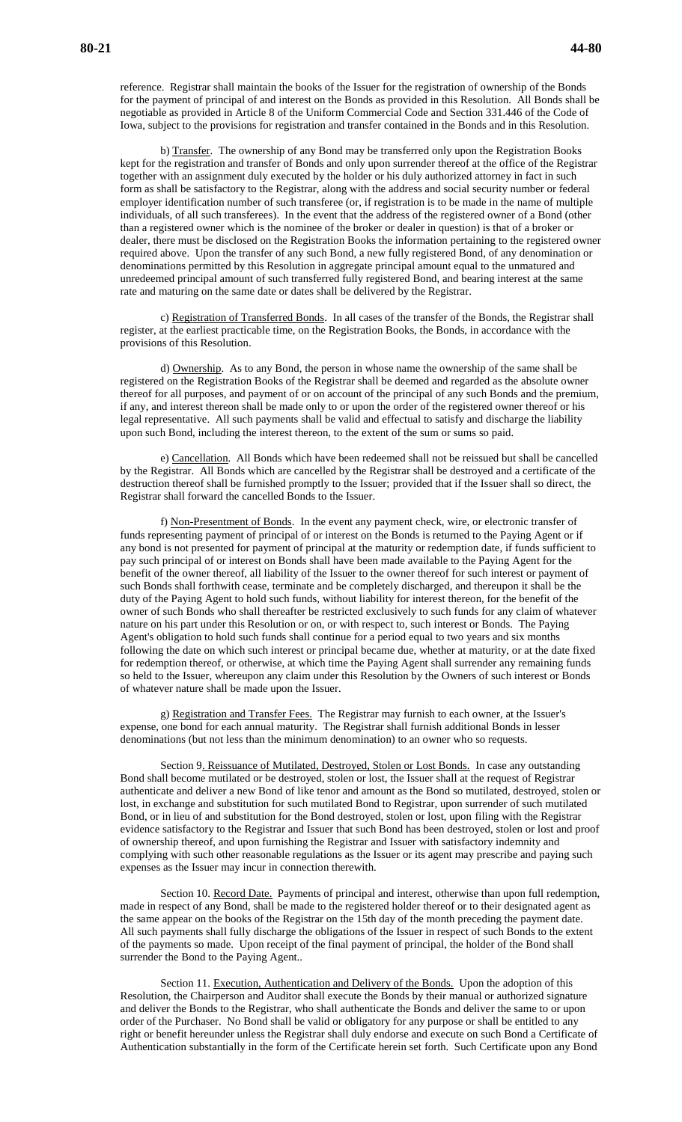reference. Registrar shall maintain the books of the Issuer for the registration of ownership of the Bonds for the payment of principal of and interest on the Bonds as provided in this Resolution. All Bonds shall be negotiable as provided in Article 8 of the Uniform Commercial Code and Section 331.446 of the Code of Iowa, subject to the provisions for registration and transfer contained in the Bonds and in this Resolution.

b) Transfer. The ownership of any Bond may be transferred only upon the Registration Books kept for the registration and transfer of Bonds and only upon surrender thereof at the office of the Registrar together with an assignment duly executed by the holder or his duly authorized attorney in fact in such form as shall be satisfactory to the Registrar, along with the address and social security number or federal employer identification number of such transferee (or, if registration is to be made in the name of multiple individuals, of all such transferees). In the event that the address of the registered owner of a Bond (other than a registered owner which is the nominee of the broker or dealer in question) is that of a broker or dealer, there must be disclosed on the Registration Books the information pertaining to the registered owner required above. Upon the transfer of any such Bond, a new fully registered Bond, of any denomination or denominations permitted by this Resolution in aggregate principal amount equal to the unmatured and unredeemed principal amount of such transferred fully registered Bond, and bearing interest at the same rate and maturing on the same date or dates shall be delivered by the Registrar.

c) Registration of Transferred Bonds. In all cases of the transfer of the Bonds, the Registrar shall register, at the earliest practicable time, on the Registration Books, the Bonds, in accordance with the provisions of this Resolution.

d) Ownership. As to any Bond, the person in whose name the ownership of the same shall be registered on the Registration Books of the Registrar shall be deemed and regarded as the absolute owner thereof for all purposes, and payment of or on account of the principal of any such Bonds and the premium, if any, and interest thereon shall be made only to or upon the order of the registered owner thereof or his legal representative. All such payments shall be valid and effectual to satisfy and discharge the liability upon such Bond, including the interest thereon, to the extent of the sum or sums so paid.

e) Cancellation. All Bonds which have been redeemed shall not be reissued but shall be cancelled by the Registrar. All Bonds which are cancelled by the Registrar shall be destroyed and a certificate of the destruction thereof shall be furnished promptly to the Issuer; provided that if the Issuer shall so direct, the Registrar shall forward the cancelled Bonds to the Issuer.

f) Non-Presentment of Bonds. In the event any payment check, wire, or electronic transfer of funds representing payment of principal of or interest on the Bonds is returned to the Paying Agent or if any bond is not presented for payment of principal at the maturity or redemption date, if funds sufficient to pay such principal of or interest on Bonds shall have been made available to the Paying Agent for the benefit of the owner thereof, all liability of the Issuer to the owner thereof for such interest or payment of such Bonds shall forthwith cease, terminate and be completely discharged, and thereupon it shall be the duty of the Paying Agent to hold such funds, without liability for interest thereon, for the benefit of the owner of such Bonds who shall thereafter be restricted exclusively to such funds for any claim of whatever nature on his part under this Resolution or on, or with respect to, such interest or Bonds. The Paying Agent's obligation to hold such funds shall continue for a period equal to two years and six months following the date on which such interest or principal became due, whether at maturity, or at the date fixed for redemption thereof, or otherwise, at which time the Paying Agent shall surrender any remaining funds so held to the Issuer, whereupon any claim under this Resolution by the Owners of such interest or Bonds of whatever nature shall be made upon the Issuer.

g) Registration and Transfer Fees. The Registrar may furnish to each owner, at the Issuer's expense, one bond for each annual maturity. The Registrar shall furnish additional Bonds in lesser denominations (but not less than the minimum denomination) to an owner who so requests.

Section 9. Reissuance of Mutilated, Destroyed, Stolen or Lost Bonds. In case any outstanding Bond shall become mutilated or be destroyed, stolen or lost, the Issuer shall at the request of Registrar authenticate and deliver a new Bond of like tenor and amount as the Bond so mutilated, destroyed, stolen or lost, in exchange and substitution for such mutilated Bond to Registrar, upon surrender of such mutilated Bond, or in lieu of and substitution for the Bond destroyed, stolen or lost, upon filing with the Registrar evidence satisfactory to the Registrar and Issuer that such Bond has been destroyed, stolen or lost and proof of ownership thereof, and upon furnishing the Registrar and Issuer with satisfactory indemnity and complying with such other reasonable regulations as the Issuer or its agent may prescribe and paying such expenses as the Issuer may incur in connection therewith.

Section 10. Record Date. Payments of principal and interest, otherwise than upon full redemption, made in respect of any Bond, shall be made to the registered holder thereof or to their designated agent as the same appear on the books of the Registrar on the 15th day of the month preceding the payment date. All such payments shall fully discharge the obligations of the Issuer in respect of such Bonds to the extent of the payments so made. Upon receipt of the final payment of principal, the holder of the Bond shall surrender the Bond to the Paying Agent..

Section 11. Execution, Authentication and Delivery of the Bonds. Upon the adoption of this Resolution, the Chairperson and Auditor shall execute the Bonds by their manual or authorized signature and deliver the Bonds to the Registrar, who shall authenticate the Bonds and deliver the same to or upon order of the Purchaser. No Bond shall be valid or obligatory for any purpose or shall be entitled to any right or benefit hereunder unless the Registrar shall duly endorse and execute on such Bond a Certificate of Authentication substantially in the form of the Certificate herein set forth. Such Certificate upon any Bond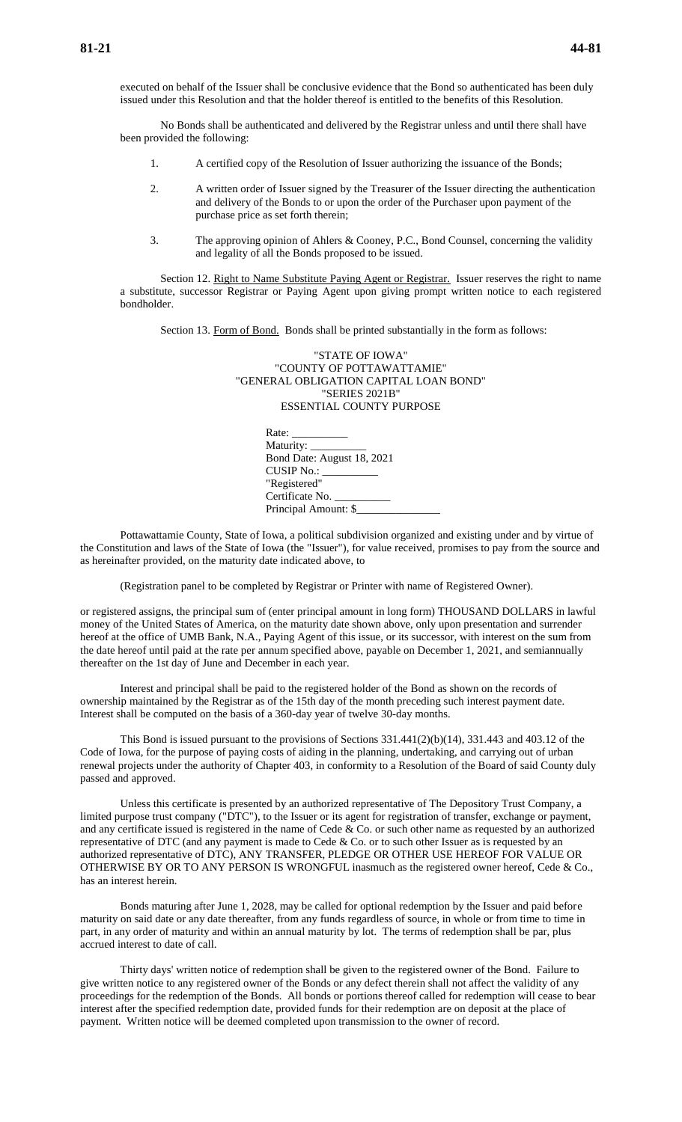executed on behalf of the Issuer shall be conclusive evidence that the Bond so authenticated has been duly issued under this Resolution and that the holder thereof is entitled to the benefits of this Resolution.

No Bonds shall be authenticated and delivered by the Registrar unless and until there shall have been provided the following:

- 1. A certified copy of the Resolution of Issuer authorizing the issuance of the Bonds;
- 2. A written order of Issuer signed by the Treasurer of the Issuer directing the authentication and delivery of the Bonds to or upon the order of the Purchaser upon payment of the purchase price as set forth therein;
- 3. The approving opinion of Ahlers & Cooney, P.C., Bond Counsel, concerning the validity and legality of all the Bonds proposed to be issued.

Section 12. Right to Name Substitute Paying Agent or Registrar. Issuer reserves the right to name a substitute, successor Registrar or Paying Agent upon giving prompt written notice to each registered bondholder.

Section 13. Form of Bond. Bonds shall be printed substantially in the form as follows:

| "STATE OF IOWA"                        |
|----------------------------------------|
| "COUNTY OF POTTAWATTAMIE"              |
| "GENERAL OBLIGATION CAPITAL LOAN BOND" |
| "SERIES 2021B"                         |
| ESSENTIAL COUNTY PURPOSE               |
|                                        |

| Rate: ___________          |  |
|----------------------------|--|
| Maturity: ____________     |  |
| Bond Date: August 18, 2021 |  |
| CUSIP No.: __________      |  |
| "Registered"               |  |
| Certificate No.            |  |
| Principal Amount: \$       |  |

Pottawattamie County, State of Iowa, a political subdivision organized and existing under and by virtue of the Constitution and laws of the State of Iowa (the "Issuer"), for value received, promises to pay from the source and as hereinafter provided, on the maturity date indicated above, to

(Registration panel to be completed by Registrar or Printer with name of Registered Owner).

or registered assigns, the principal sum of (enter principal amount in long form) THOUSAND DOLLARS in lawful money of the United States of America, on the maturity date shown above, only upon presentation and surrender hereof at the office of UMB Bank, N.A., Paying Agent of this issue, or its successor, with interest on the sum from the date hereof until paid at the rate per annum specified above, payable on December 1, 2021, and semiannually thereafter on the 1st day of June and December in each year.

Interest and principal shall be paid to the registered holder of the Bond as shown on the records of ownership maintained by the Registrar as of the 15th day of the month preceding such interest payment date. Interest shall be computed on the basis of a 360-day year of twelve 30-day months.

This Bond is issued pursuant to the provisions of Sections 331.441(2)(b)(14), 331.443 and 403.12 of the Code of Iowa, for the purpose of paying costs of aiding in the planning, undertaking, and carrying out of urban renewal projects under the authority of Chapter 403, in conformity to a Resolution of the Board of said County duly passed and approved.

Unless this certificate is presented by an authorized representative of The Depository Trust Company, a limited purpose trust company ("DTC"), to the Issuer or its agent for registration of transfer, exchange or payment, and any certificate issued is registered in the name of Cede & Co. or such other name as requested by an authorized representative of DTC (and any payment is made to Cede  $\&$  Co. or to such other Issuer as is requested by an authorized representative of DTC), ANY TRANSFER, PLEDGE OR OTHER USE HEREOF FOR VALUE OR OTHERWISE BY OR TO ANY PERSON IS WRONGFUL inasmuch as the registered owner hereof, Cede & Co., has an interest herein.

Bonds maturing after June 1, 2028, may be called for optional redemption by the Issuer and paid before maturity on said date or any date thereafter, from any funds regardless of source, in whole or from time to time in part, in any order of maturity and within an annual maturity by lot. The terms of redemption shall be par, plus accrued interest to date of call.

Thirty days' written notice of redemption shall be given to the registered owner of the Bond. Failure to give written notice to any registered owner of the Bonds or any defect therein shall not affect the validity of any proceedings for the redemption of the Bonds. All bonds or portions thereof called for redemption will cease to bear interest after the specified redemption date, provided funds for their redemption are on deposit at the place of payment. Written notice will be deemed completed upon transmission to the owner of record.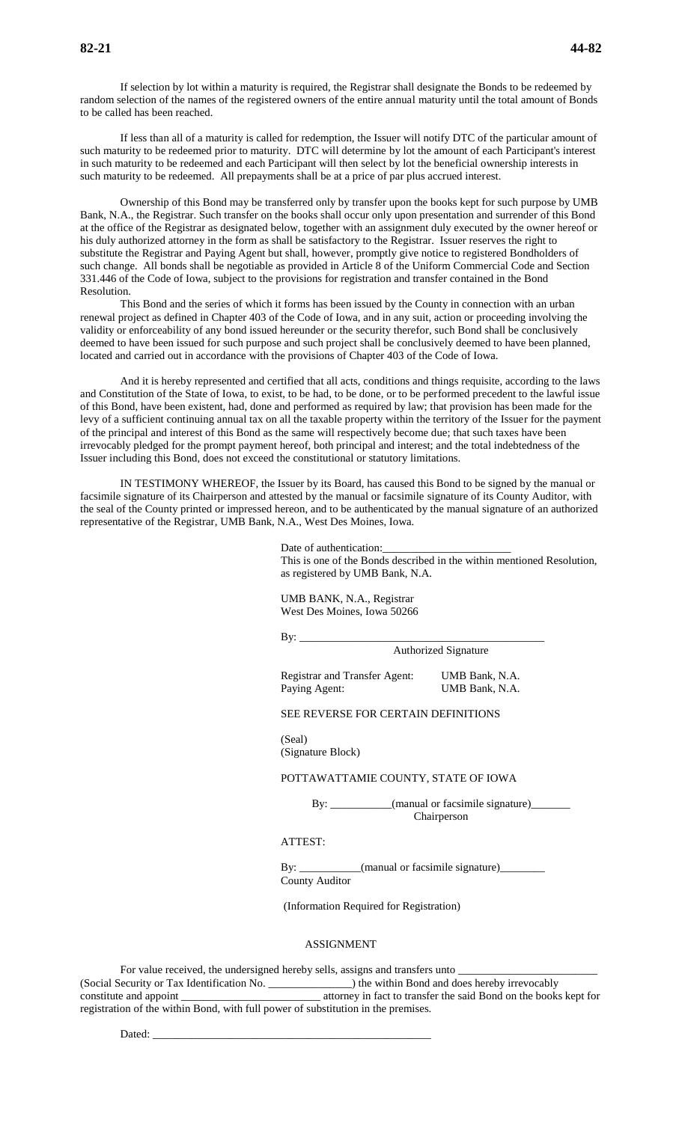If selection by lot within a maturity is required, the Registrar shall designate the Bonds to be redeemed by random selection of the names of the registered owners of the entire annual maturity until the total amount of Bonds to be called has been reached.

If less than all of a maturity is called for redemption, the Issuer will notify DTC of the particular amount of such maturity to be redeemed prior to maturity. DTC will determine by lot the amount of each Participant's interest in such maturity to be redeemed and each Participant will then select by lot the beneficial ownership interests in such maturity to be redeemed. All prepayments shall be at a price of par plus accrued interest.

Ownership of this Bond may be transferred only by transfer upon the books kept for such purpose by UMB Bank, N.A., the Registrar. Such transfer on the books shall occur only upon presentation and surrender of this Bond at the office of the Registrar as designated below, together with an assignment duly executed by the owner hereof or his duly authorized attorney in the form as shall be satisfactory to the Registrar. Issuer reserves the right to substitute the Registrar and Paying Agent but shall, however, promptly give notice to registered Bondholders of such change. All bonds shall be negotiable as provided in Article 8 of the Uniform Commercial Code and Section 331.446 of the Code of Iowa, subject to the provisions for registration and transfer contained in the Bond Resolution.

This Bond and the series of which it forms has been issued by the County in connection with an urban renewal project as defined in Chapter 403 of the Code of Iowa, and in any suit, action or proceeding involving the validity or enforceability of any bond issued hereunder or the security therefor, such Bond shall be conclusively deemed to have been issued for such purpose and such project shall be conclusively deemed to have been planned, located and carried out in accordance with the provisions of Chapter 403 of the Code of Iowa.

And it is hereby represented and certified that all acts, conditions and things requisite, according to the laws and Constitution of the State of Iowa, to exist, to be had, to be done, or to be performed precedent to the lawful issue of this Bond, have been existent, had, done and performed as required by law; that provision has been made for the levy of a sufficient continuing annual tax on all the taxable property within the territory of the Issuer for the payment of the principal and interest of this Bond as the same will respectively become due; that such taxes have been irrevocably pledged for the prompt payment hereof, both principal and interest; and the total indebtedness of the Issuer including this Bond, does not exceed the constitutional or statutory limitations.

IN TESTIMONY WHEREOF, the Issuer by its Board, has caused this Bond to be signed by the manual or facsimile signature of its Chairperson and attested by the manual or facsimile signature of its County Auditor, with the seal of the County printed or impressed hereon, and to be authenticated by the manual signature of an authorized representative of the Registrar, UMB Bank, N.A., West Des Moines, Iowa.

> Date of authentication: This is one of the Bonds described in the within mentioned Resolution, as registered by UMB Bank, N.A.

UMB BANK, N.A., Registrar West Des Moines, Iowa 50266

By: \_\_\_\_\_\_\_\_\_\_\_\_\_\_\_\_\_\_\_\_\_\_\_\_\_\_\_\_\_\_\_\_\_\_\_\_\_\_\_\_\_\_\_\_

Authorized Signature

Registrar and Transfer Agent: UMB Bank, N.A. Paying Agent: UMB Bank, N.A.

### SEE REVERSE FOR CERTAIN DEFINITIONS

(Seal) (Signature Block)

#### POTTAWATTAMIE COUNTY, STATE OF IOWA

By: \_\_\_\_\_\_\_\_\_\_\_(manual or facsimile signature)\_\_\_\_\_\_\_ Chairperson

### ATTEST:

By: \_\_\_\_\_\_\_\_\_\_(manual or facsimile signature)\_\_\_\_\_\_ County Auditor

(Information Required for Registration)

#### ASSIGNMENT

For value received, the undersigned hereby sells, assigns and transfers unto \_ (Social Security or Tax Identification No. \_\_\_\_\_\_\_\_\_\_\_\_\_\_\_) the within Bond and does hereby irrevocably constitute and appoint \_\_\_\_\_\_\_\_\_\_\_\_\_\_\_\_\_\_\_\_\_\_\_\_\_ attorney in fact to transfer the said Bond on the books kept for registration of the within Bond, with full power of substitution in the premises.

Dated: \_\_\_\_\_\_\_\_\_\_\_\_\_\_\_\_\_\_\_\_\_\_\_\_\_\_\_\_\_\_\_\_\_\_\_\_\_\_\_\_\_\_\_\_\_\_\_\_\_\_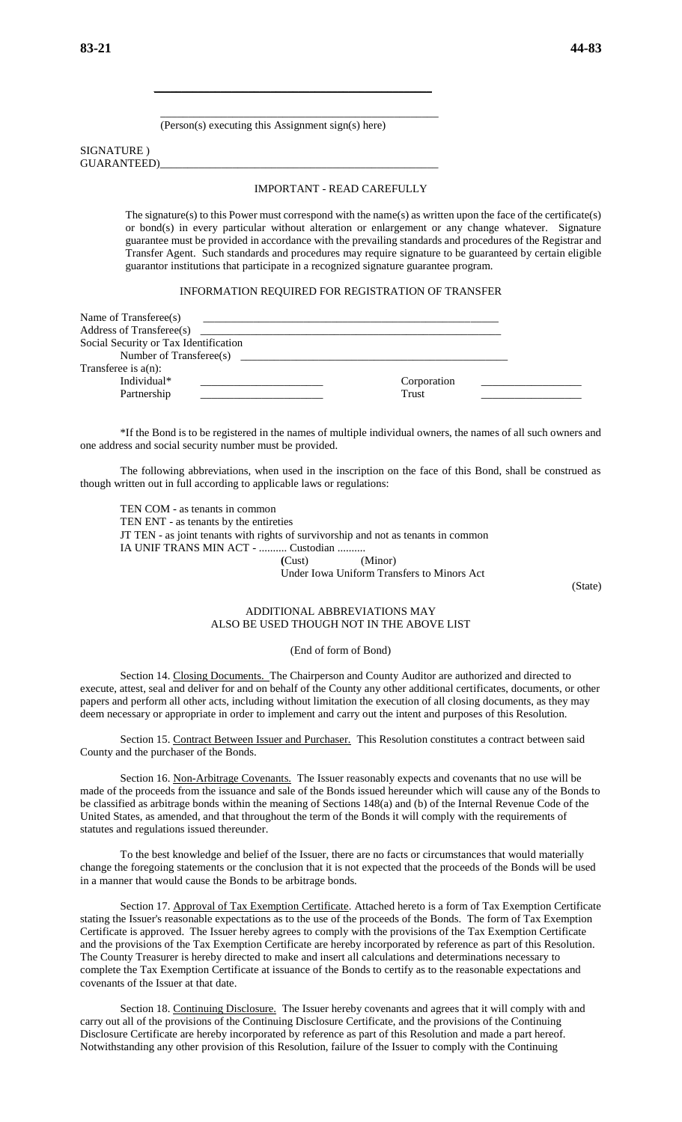(Person(s) executing this Assignment sign(s) here)

\_\_\_\_\_\_\_\_\_\_\_\_\_\_\_\_\_\_\_\_\_\_\_\_\_\_\_\_\_\_\_\_\_\_\_\_\_\_\_\_\_\_\_\_\_\_\_\_\_\_

 $\mathcal{L}_\text{max}$  , and the contract of the contract of the contract of the contract of the contract of the contract of the contract of the contract of the contract of the contract of the contract of the contract of the contr

#### SIGNATURE ) GUARANTEED)\_\_\_\_\_\_\_\_\_\_\_\_\_\_\_\_\_\_\_\_\_\_\_\_\_\_\_\_\_\_\_\_\_\_\_\_\_\_\_\_\_\_\_\_\_\_\_\_\_\_

#### IMPORTANT - READ CAREFULLY

The signature(s) to this Power must correspond with the name(s) as written upon the face of the certificate(s) or bond(s) in every particular without alteration or enlargement or any change whatever. Signature guarantee must be provided in accordance with the prevailing standards and procedures of the Registrar and Transfer Agent. Such standards and procedures may require signature to be guaranteed by certain eligible guarantor institutions that participate in a recognized signature guarantee program.

#### INFORMATION REQUIRED FOR REGISTRATION OF TRANSFER

| Name of Transferee(s)                 |             |  |
|---------------------------------------|-------------|--|
| Address of Transferee(s)              |             |  |
| Social Security or Tax Identification |             |  |
| Number of Transferee(s)               |             |  |
| Transferee is $a(n)$ :                |             |  |
| Individual*                           | Corporation |  |
| Partnership                           | Trust       |  |

\*If the Bond is to be registered in the names of multiple individual owners, the names of all such owners and one address and social security number must be provided.

The following abbreviations, when used in the inscription on the face of this Bond, shall be construed as though written out in full according to applicable laws or regulations:

TEN COM - as tenants in common TEN ENT - as tenants by the entireties JT TEN - as joint tenants with rights of survivorship and not as tenants in common IA UNIF TRANS MIN ACT - .......... Custodian .......... **(**Cust) (Minor)

Under Iowa Uniform Transfers to Minors Act

(State)

### ADDITIONAL ABBREVIATIONS MAY ALSO BE USED THOUGH NOT IN THE ABOVE LIST

#### (End of form of Bond)

Section 14. Closing Documents. The Chairperson and County Auditor are authorized and directed to execute, attest, seal and deliver for and on behalf of the County any other additional certificates, documents, or other papers and perform all other acts, including without limitation the execution of all closing documents, as they may deem necessary or appropriate in order to implement and carry out the intent and purposes of this Resolution.

Section 15. Contract Between Issuer and Purchaser. This Resolution constitutes a contract between said County and the purchaser of the Bonds.

Section 16. Non-Arbitrage Covenants. The Issuer reasonably expects and covenants that no use will be made of the proceeds from the issuance and sale of the Bonds issued hereunder which will cause any of the Bonds to be classified as arbitrage bonds within the meaning of Sections 148(a) and (b) of the Internal Revenue Code of the United States, as amended, and that throughout the term of the Bonds it will comply with the requirements of statutes and regulations issued thereunder.

To the best knowledge and belief of the Issuer, there are no facts or circumstances that would materially change the foregoing statements or the conclusion that it is not expected that the proceeds of the Bonds will be used in a manner that would cause the Bonds to be arbitrage bonds.

Section 17. Approval of Tax Exemption Certificate. Attached hereto is a form of Tax Exemption Certificate stating the Issuer's reasonable expectations as to the use of the proceeds of the Bonds. The form of Tax Exemption Certificate is approved. The Issuer hereby agrees to comply with the provisions of the Tax Exemption Certificate and the provisions of the Tax Exemption Certificate are hereby incorporated by reference as part of this Resolution. The County Treasurer is hereby directed to make and insert all calculations and determinations necessary to complete the Tax Exemption Certificate at issuance of the Bonds to certify as to the reasonable expectations and covenants of the Issuer at that date.

Section 18. Continuing Disclosure. The Issuer hereby covenants and agrees that it will comply with and carry out all of the provisions of the Continuing Disclosure Certificate, and the provisions of the Continuing Disclosure Certificate are hereby incorporated by reference as part of this Resolution and made a part hereof. Notwithstanding any other provision of this Resolution, failure of the Issuer to comply with the Continuing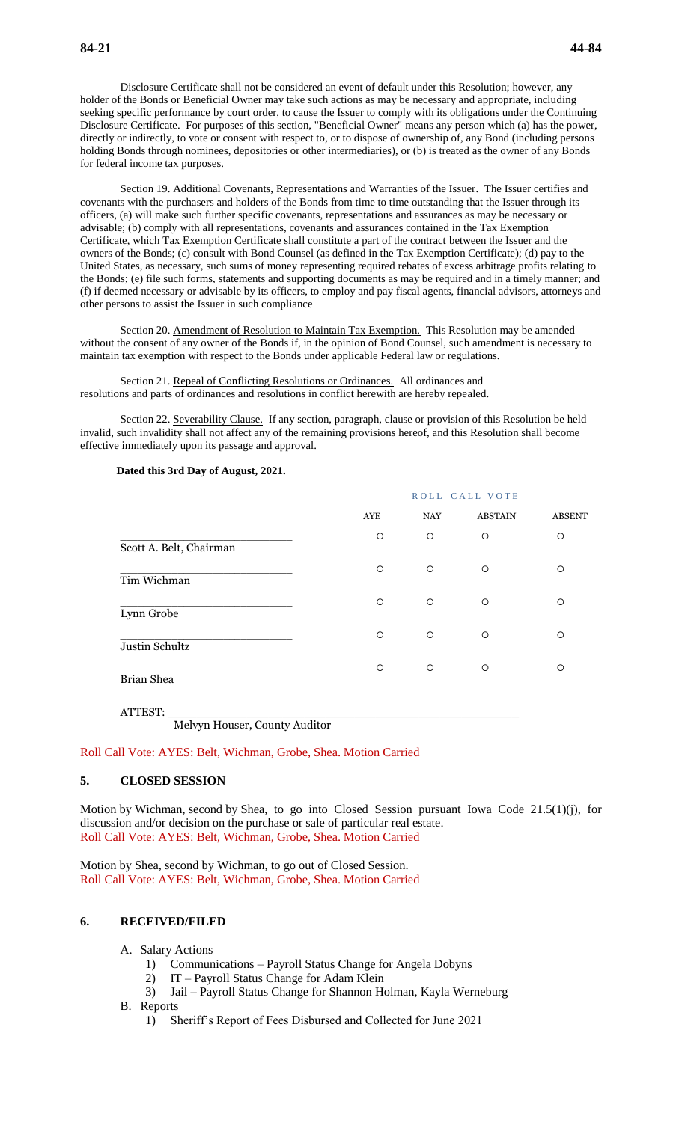Disclosure Certificate shall not be considered an event of default under this Resolution; however, any holder of the Bonds or Beneficial Owner may take such actions as may be necessary and appropriate, including seeking specific performance by court order, to cause the Issuer to comply with its obligations under the Continuing Disclosure Certificate. For purposes of this section, "Beneficial Owner" means any person which (a) has the power, directly or indirectly, to vote or consent with respect to, or to dispose of ownership of, any Bond (including persons holding Bonds through nominees, depositories or other intermediaries), or (b) is treated as the owner of any Bonds for federal income tax purposes.

Section 19. Additional Covenants, Representations and Warranties of the Issuer. The Issuer certifies and covenants with the purchasers and holders of the Bonds from time to time outstanding that the Issuer through its officers, (a) will make such further specific covenants, representations and assurances as may be necessary or advisable; (b) comply with all representations, covenants and assurances contained in the Tax Exemption Certificate, which Tax Exemption Certificate shall constitute a part of the contract between the Issuer and the owners of the Bonds; (c) consult with Bond Counsel (as defined in the Tax Exemption Certificate); (d) pay to the United States, as necessary, such sums of money representing required rebates of excess arbitrage profits relating to the Bonds; (e) file such forms, statements and supporting documents as may be required and in a timely manner; and (f) if deemed necessary or advisable by its officers, to employ and pay fiscal agents, financial advisors, attorneys and other persons to assist the Issuer in such compliance

Section 20. Amendment of Resolution to Maintain Tax Exemption. This Resolution may be amended without the consent of any owner of the Bonds if, in the opinion of Bond Counsel, such amendment is necessary to maintain tax exemption with respect to the Bonds under applicable Federal law or regulations.

Section 21. Repeal of Conflicting Resolutions or Ordinances. All ordinances and resolutions and parts of ordinances and resolutions in conflict herewith are hereby repealed.

Section 22. Severability Clause. If any section, paragraph, clause or provision of this Resolution be held invalid, such invalidity shall not affect any of the remaining provisions hereof, and this Resolution shall become effective immediately upon its passage and approval.

### **Dated this 3rd Day of August, 2021.**

|                         |         | ROLL CALL VOTE |                |               |  |  |
|-------------------------|---------|----------------|----------------|---------------|--|--|
|                         | AYE     | NAY            | <b>ABSTAIN</b> | <b>ABSENT</b> |  |  |
| Scott A. Belt, Chairman | $\circ$ | $\circ$        | $\circ$        | $\circ$       |  |  |
| Tim Wichman             | $\circ$ | $\circ$        | $\circ$        | $\circ$       |  |  |
| Lynn Grobe              | $\circ$ | $\circ$        | $\circ$        | $\circ$       |  |  |
| Justin Schultz          | $\circ$ | O              | $\circ$        | $\circ$       |  |  |
| Brian Shea              | $\circ$ | $\circ$        | $\circ$        | O             |  |  |
| $M1$ $M2$ $M3$          |         |                |                |               |  |  |

Melvyn Houser, County Auditor

Roll Call Vote: AYES: Belt, Wichman, Grobe, Shea. Motion Carried

### **5. CLOSED SESSION**

Motion by Wichman, second by Shea, to go into Closed Session pursuant Iowa Code 21.5(1)(j), for discussion and/or decision on the purchase or sale of particular real estate. Roll Call Vote: AYES: Belt, Wichman, Grobe, Shea. Motion Carried

Motion by Shea, second by Wichman, to go out of Closed Session. Roll Call Vote: AYES: Belt, Wichman, Grobe, Shea. Motion Carried

# **6. RECEIVED/FILED**

- A. Salary Actions
	- 1) Communications Payroll Status Change for Angela Dobyns
	- 2) IT Payroll Status Change for Adam Klein
	- 3) Jail Payroll Status Change for Shannon Holman, Kayla Werneburg
- B. Reports
	- 1) Sheriff's Report of Fees Disbursed and Collected for June 2021